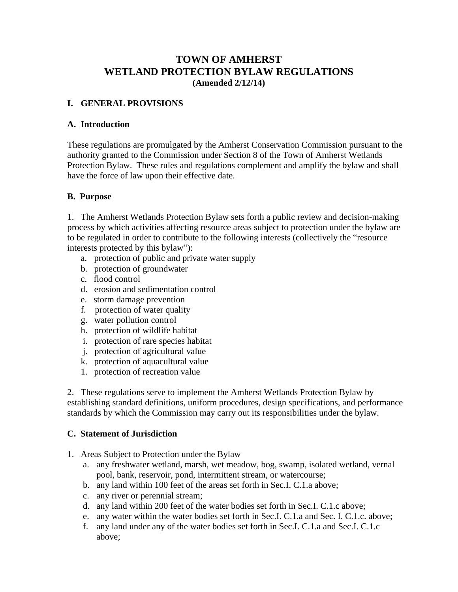# **TOWN OF AMHERST WETLAND PROTECTION BYLAW REGULATIONS (Amended 2/12/14)**

# **I. GENERAL PROVISIONS**

#### **A. Introduction**

These regulations are promulgated by the Amherst Conservation Commission pursuant to the authority granted to the Commission under Section 8 of the Town of Amherst Wetlands Protection Bylaw. These rules and regulations complement and amplify the bylaw and shall have the force of law upon their effective date.

# **B. Purpose**

1. The Amherst Wetlands Protection Bylaw sets forth a public review and decision-making process by which activities affecting resource areas subject to protection under the bylaw are to be regulated in order to contribute to the following interests (collectively the "resource interests protected by this bylaw"):

- a. protection of public and private water supply
- b. protection of groundwater
- c. flood control
- d. erosion and sedimentation control
- e. storm damage prevention
- f. protection of water quality
- g. water pollution control
- h. protection of wildlife habitat
- i. protection of rare species habitat
- j. protection of agricultural value
- k. protection of aquacultural value
- 1. protection of recreation value

2. These regulations serve to implement the Amherst Wetlands Protection Bylaw by establishing standard definitions, uniform procedures, design specifications, and performance standards by which the Commission may carry out its responsibilities under the bylaw.

# **C. Statement of Jurisdiction**

- 1. Areas Subject to Protection under the Bylaw
	- a. any freshwater wetland, marsh, wet meadow, bog, swamp, isolated wetland, vernal pool, bank, reservoir, pond, intermittent stream, or watercourse;
	- b. any land within 100 feet of the areas set forth in Sec.I. C.1.a above;
	- c. any river or perennial stream;
	- d. any land within 200 feet of the water bodies set forth in Sec.I. C.1.c above;
	- e. any water within the water bodies set forth in Sec.I. C.1.a and Sec. I. C.1.c. above;
	- f. any land under any of the water bodies set forth in Sec.I. C.1.a and Sec.I. C.1.c above;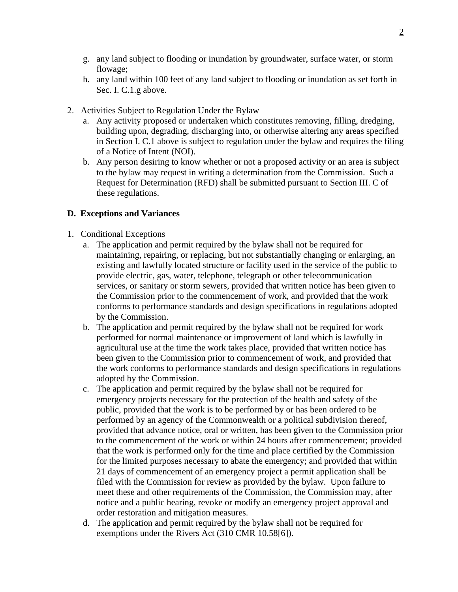- g. any land subject to flooding or inundation by groundwater, surface water, or storm flowage;
- h. any land within 100 feet of any land subject to flooding or inundation as set forth in Sec. I. C.1.g above.
- 2. Activities Subject to Regulation Under the Bylaw
	- a. Any activity proposed or undertaken which constitutes removing, filling, dredging, building upon, degrading, discharging into, or otherwise altering any areas specified in Section I. C.1 above is subject to regulation under the bylaw and requires the filing of a Notice of Intent (NOI).
	- b. Any person desiring to know whether or not a proposed activity or an area is subject to the bylaw may request in writing a determination from the Commission. Such a Request for Determination (RFD) shall be submitted pursuant to Section III. C of these regulations.

#### **D. Exceptions and Variances**

- 1. Conditional Exceptions
	- a. The application and permit required by the bylaw shall not be required for maintaining, repairing, or replacing, but not substantially changing or enlarging, an existing and lawfully located structure or facility used in the service of the public to provide electric, gas, water, telephone, telegraph or other telecommunication services, or sanitary or storm sewers, provided that written notice has been given to the Commission prior to the commencement of work, and provided that the work conforms to performance standards and design specifications in regulations adopted by the Commission.
	- b. The application and permit required by the bylaw shall not be required for work performed for normal maintenance or improvement of land which is lawfully in agricultural use at the time the work takes place, provided that written notice has been given to the Commission prior to commencement of work, and provided that the work conforms to performance standards and design specifications in regulations adopted by the Commission.
	- c. The application and permit required by the bylaw shall not be required for emergency projects necessary for the protection of the health and safety of the public, provided that the work is to be performed by or has been ordered to be performed by an agency of the Commonwealth or a political subdivision thereof, provided that advance notice, oral or written, has been given to the Commission prior to the commencement of the work or within 24 hours after commencement; provided that the work is performed only for the time and place certified by the Commission for the limited purposes necessary to abate the emergency; and provided that within 21 days of commencement of an emergency project a permit application shall be filed with the Commission for review as provided by the bylaw. Upon failure to meet these and other requirements of the Commission, the Commission may, after notice and a public hearing, revoke or modify an emergency project approval and order restoration and mitigation measures.
	- d. The application and permit required by the bylaw shall not be required for exemptions under the Rivers Act (310 CMR 10.58[6]).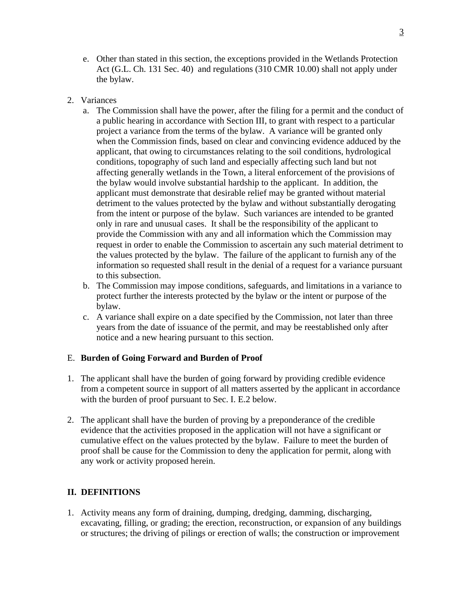- e. Other than stated in this section, the exceptions provided in the Wetlands Protection Act (G.L. Ch. 131 Sec. 40) and regulations (310 CMR 10.00) shall not apply under the bylaw.
- 2. Variances
	- a. The Commission shall have the power, after the filing for a permit and the conduct of a public hearing in accordance with Section III, to grant with respect to a particular project a variance from the terms of the bylaw. A variance will be granted only when the Commission finds, based on clear and convincing evidence adduced by the applicant, that owing to circumstances relating to the soil conditions, hydrological conditions, topography of such land and especially affecting such land but not affecting generally wetlands in the Town, a literal enforcement of the provisions of the bylaw would involve substantial hardship to the applicant. In addition, the applicant must demonstrate that desirable relief may be granted without material detriment to the values protected by the bylaw and without substantially derogating from the intent or purpose of the bylaw. Such variances are intended to be granted only in rare and unusual cases. It shall be the responsibility of the applicant to provide the Commission with any and all information which the Commission may request in order to enable the Commission to ascertain any such material detriment to the values protected by the bylaw. The failure of the applicant to furnish any of the information so requested shall result in the denial of a request for a variance pursuant to this subsection.
	- b. The Commission may impose conditions, safeguards, and limitations in a variance to protect further the interests protected by the bylaw or the intent or purpose of the bylaw.
	- c. A variance shall expire on a date specified by the Commission, not later than three years from the date of issuance of the permit, and may be reestablished only after notice and a new hearing pursuant to this section.

# E. **Burden of Going Forward and Burden of Proof**

- 1. The applicant shall have the burden of going forward by providing credible evidence from a competent source in support of all matters asserted by the applicant in accordance with the burden of proof pursuant to Sec. I. E.2 below.
- 2. The applicant shall have the burden of proving by a preponderance of the credible evidence that the activities proposed in the application will not have a significant or cumulative effect on the values protected by the bylaw. Failure to meet the burden of proof shall be cause for the Commission to deny the application for permit, along with any work or activity proposed herein.

# **II. DEFINITIONS**

1. Activity means any form of draining, dumping, dredging, damming, discharging, excavating, filling, or grading; the erection, reconstruction, or expansion of any buildings or structures; the driving of pilings or erection of walls; the construction or improvement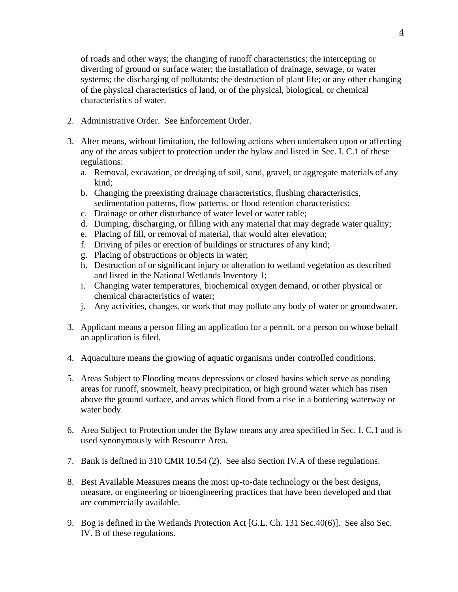of roads and other ways; the changing of runoff characteristics; the intercepting or diverting of ground or surface water; the installation of drainage, sewage, or water systems; the discharging of pollutants; the destruction of plant life; or any other changing of the physical characteristics of land, or of the physical, biological, or chemical characteristics of water.

- 2. Administrative Order. See Enforcement Order.
- 3. Alter means, without limitation, the following actions when undertaken upon or affecting any of the areas subject to protection under the bylaw and listed in Sec. I. C.1 of these regulations:
	- a. Removal, excavation, or dredging of soil, sand, gravel, or aggregate materials of any kind;
	- b. Changing the preexisting drainage characteristics, flushing characteristics, sedimentation patterns, flow patterns, or flood retention characteristics;
	- c. Drainage or other disturbance of water level or water table;
	- d. Dumping, discharging, or filling with any material that may degrade water quality;
	- e. Placing of fill, or removal of material, that would alter elevation;
	- f. Driving of piles or erection of buildings or structures of any kind;
	- g. Placing of obstructions or objects in water;
	- h. Destruction of or significant injury or alteration to wetland vegetation as described and listed in the National Wetlands Inventory 1;
	- i. Changing water temperatures, biochemical oxygen demand, or other physical or chemical characteristics of water;
	- j. Any activities, changes, or work that may pollute any body of water or groundwater.
- 3. Applicant means a person filing an application for a permit, or a person on whose behalf an application is filed.
- 4. Aquaculture means the growing of aquatic organisms under controlled conditions.
- 5. Areas Subject to Flooding means depressions or closed basins which serve as ponding areas for runoff, snowmelt, heavy precipitation, or high ground water which has risen above the ground surface, and areas which flood from a rise in a bordering waterway or water body.
- 6. Area Subject to Protection under the Bylaw means any area specified in Sec. I. C.1 and is used synonymously with Resource Area.
- 7. Bank is defined in 310 CMR 10.54 (2). See also Section IV.A of these regulations.
- 8. Best Available Measures means the most up-to-date technology or the best designs, measure, or engineering or bioengineering practices that have been developed and that are commercially available.
- 9. Bog is defined in the Wetlands Protection Act [G.L. Ch. 131 Sec.40(6)]. See also Sec. IV. B of these regulations.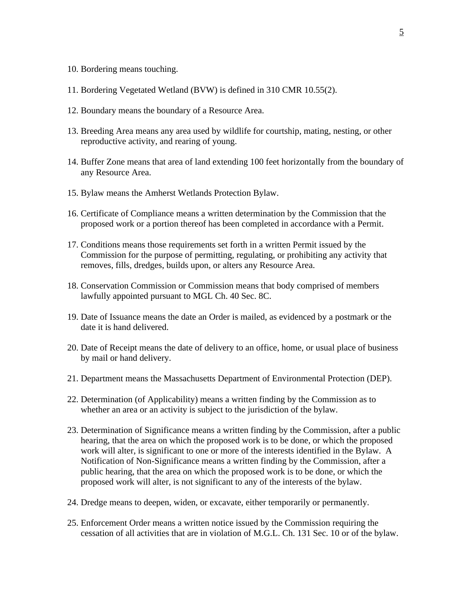- 10. Bordering means touching.
- 11. Bordering Vegetated Wetland (BVW) is defined in 310 CMR 10.55(2).
- 12. Boundary means the boundary of a Resource Area.
- 13. Breeding Area means any area used by wildlife for courtship, mating, nesting, or other reproductive activity, and rearing of young.
- 14. Buffer Zone means that area of land extending 100 feet horizontally from the boundary of any Resource Area.
- 15. Bylaw means the Amherst Wetlands Protection Bylaw.
- 16. Certificate of Compliance means a written determination by the Commission that the proposed work or a portion thereof has been completed in accordance with a Permit.
- 17. Conditions means those requirements set forth in a written Permit issued by the Commission for the purpose of permitting, regulating, or prohibiting any activity that removes, fills, dredges, builds upon, or alters any Resource Area.
- 18. Conservation Commission or Commission means that body comprised of members lawfully appointed pursuant to MGL Ch. 40 Sec. 8C.
- 19. Date of Issuance means the date an Order is mailed, as evidenced by a postmark or the date it is hand delivered.
- 20. Date of Receipt means the date of delivery to an office, home, or usual place of business by mail or hand delivery.
- 21. Department means the Massachusetts Department of Environmental Protection (DEP).
- 22. Determination (of Applicability) means a written finding by the Commission as to whether an area or an activity is subject to the jurisdiction of the bylaw.
- 23. Determination of Significance means a written finding by the Commission, after a public hearing, that the area on which the proposed work is to be done, or which the proposed work will alter, is significant to one or more of the interests identified in the Bylaw. A Notification of Non-Significance means a written finding by the Commission, after a public hearing, that the area on which the proposed work is to be done, or which the proposed work will alter, is not significant to any of the interests of the bylaw.
- 24. Dredge means to deepen, widen, or excavate, either temporarily or permanently.
- 25. Enforcement Order means a written notice issued by the Commission requiring the cessation of all activities that are in violation of M.G.L. Ch. 131 Sec. 10 or of the bylaw.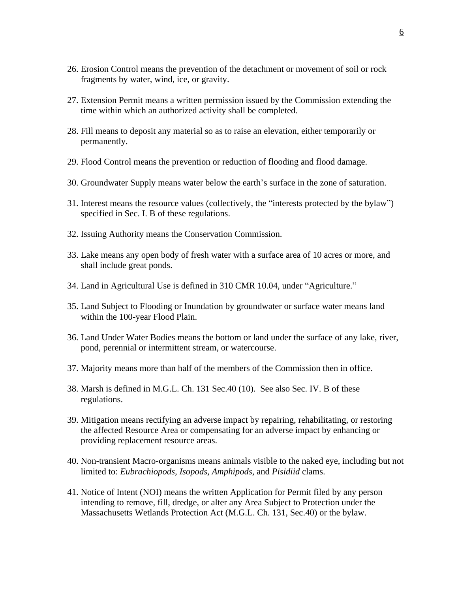- 26. Erosion Control means the prevention of the detachment or movement of soil or rock fragments by water, wind, ice, or gravity.
- 27. Extension Permit means a written permission issued by the Commission extending the time within which an authorized activity shall be completed.
- 28. Fill means to deposit any material so as to raise an elevation, either temporarily or permanently.
- 29. Flood Control means the prevention or reduction of flooding and flood damage.
- 30. Groundwater Supply means water below the earth's surface in the zone of saturation.
- 31. Interest means the resource values (collectively, the "interests protected by the bylaw") specified in Sec. I. B of these regulations.
- 32. Issuing Authority means the Conservation Commission.
- 33. Lake means any open body of fresh water with a surface area of 10 acres or more, and shall include great ponds.
- 34. Land in Agricultural Use is defined in 310 CMR 10.04, under "Agriculture."
- 35. Land Subject to Flooding or Inundation by groundwater or surface water means land within the 100-year Flood Plain.
- 36. Land Under Water Bodies means the bottom or land under the surface of any lake, river, pond, perennial or intermittent stream, or watercourse.
- 37. Majority means more than half of the members of the Commission then in office.
- 38. Marsh is defined in M.G.L. Ch. 131 Sec.40 (10). See also Sec. IV. B of these regulations.
- 39. Mitigation means rectifying an adverse impact by repairing, rehabilitating, or restoring the affected Resource Area or compensating for an adverse impact by enhancing or providing replacement resource areas.
- 40. Non-transient Macro-organisms means animals visible to the naked eye, including but not limited to: *Eubrachiopods, Isopods, Amphipods*, and *Pisidiid* clams.
- 41. Notice of Intent (NOI) means the written Application for Permit filed by any person intending to remove, fill, dredge, or alter any Area Subject to Protection under the Massachusetts Wetlands Protection Act (M.G.L. Ch. 131, Sec.40) or the bylaw.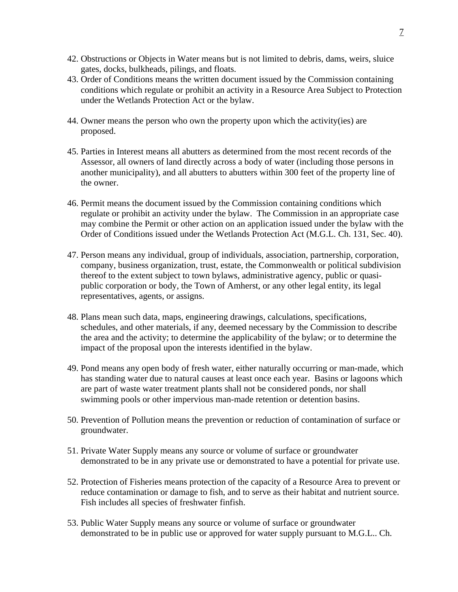- 42. Obstructions or Objects in Water means but is not limited to debris, dams, weirs, sluice gates, docks, bulkheads, pilings, and floats.
- 43. Order of Conditions means the written document issued by the Commission containing conditions which regulate or prohibit an activity in a Resource Area Subject to Protection under the Wetlands Protection Act or the bylaw.
- 44. Owner means the person who own the property upon which the activity(ies) are proposed.
- 45. Parties in Interest means all abutters as determined from the most recent records of the Assessor, all owners of land directly across a body of water (including those persons in another municipality), and all abutters to abutters within 300 feet of the property line of the owner.
- 46. Permit means the document issued by the Commission containing conditions which regulate or prohibit an activity under the bylaw. The Commission in an appropriate case may combine the Permit or other action on an application issued under the bylaw with the Order of Conditions issued under the Wetlands Protection Act (M.G.L. Ch. 131, Sec. 40).
- 47. Person means any individual, group of individuals, association, partnership, corporation, company, business organization, trust, estate, the Commonwealth or political subdivision thereof to the extent subject to town bylaws, administrative agency, public or quasipublic corporation or body, the Town of Amherst, or any other legal entity, its legal representatives, agents, or assigns.
- 48. Plans mean such data, maps, engineering drawings, calculations, specifications, schedules, and other materials, if any, deemed necessary by the Commission to describe the area and the activity; to determine the applicability of the bylaw; or to determine the impact of the proposal upon the interests identified in the bylaw.
- 49. Pond means any open body of fresh water, either naturally occurring or man-made, which has standing water due to natural causes at least once each year. Basins or lagoons which are part of waste water treatment plants shall not be considered ponds, nor shall swimming pools or other impervious man-made retention or detention basins.
- 50. Prevention of Pollution means the prevention or reduction of contamination of surface or groundwater.
- 51. Private Water Supply means any source or volume of surface or groundwater demonstrated to be in any private use or demonstrated to have a potential for private use.
- 52. Protection of Fisheries means protection of the capacity of a Resource Area to prevent or reduce contamination or damage to fish, and to serve as their habitat and nutrient source. Fish includes all species of freshwater finfish.
- 53. Public Water Supply means any source or volume of surface or groundwater demonstrated to be in public use or approved for water supply pursuant to M.G.L.. Ch.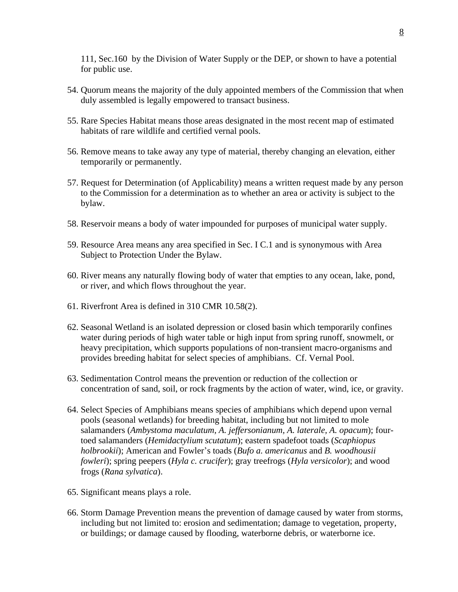111, Sec.160 by the Division of Water Supply or the DEP, or shown to have a potential for public use.

- 54. Quorum means the majority of the duly appointed members of the Commission that when duly assembled is legally empowered to transact business.
- 55. Rare Species Habitat means those areas designated in the most recent map of estimated habitats of rare wildlife and certified vernal pools.
- 56. Remove means to take away any type of material, thereby changing an elevation, either temporarily or permanently.
- 57. Request for Determination (of Applicability) means a written request made by any person to the Commission for a determination as to whether an area or activity is subject to the bylaw.
- 58. Reservoir means a body of water impounded for purposes of municipal water supply.
- 59. Resource Area means any area specified in Sec. I C.1 and is synonymous with Area Subject to Protection Under the Bylaw.
- 60. River means any naturally flowing body of water that empties to any ocean, lake, pond, or river, and which flows throughout the year.
- 61. Riverfront Area is defined in 310 CMR 10.58(2).
- 62. Seasonal Wetland is an isolated depression or closed basin which temporarily confines water during periods of high water table or high input from spring runoff, snowmelt, or heavy precipitation, which supports populations of non-transient macro-organisms and provides breeding habitat for select species of amphibians. Cf. Vernal Pool.
- 63. Sedimentation Control means the prevention or reduction of the collection or concentration of sand, soil, or rock fragments by the action of water, wind, ice, or gravity.
- 64. Select Species of Amphibians means species of amphibians which depend upon vernal pools (seasonal wetlands) for breeding habitat, including but not limited to mole salamanders (*Ambystoma maculatum, A. jeffersonianum, A. laterale, A. opacum*); fourtoed salamanders (*Hemidactylium scutatum*); eastern spadefoot toads (*Scaphiopus holbrookii*); American and Fowler's toads (*Bufo a. americanus* and *B. woodhousii fowleri*); spring peepers (*Hyla c. crucifer*); gray treefrogs (*Hyla versicolor*); and wood frogs (*Rana sylvatica*).
- 65. Significant means plays a role.
- 66. Storm Damage Prevention means the prevention of damage caused by water from storms, including but not limited to: erosion and sedimentation; damage to vegetation, property, or buildings; or damage caused by flooding, waterborne debris, or waterborne ice.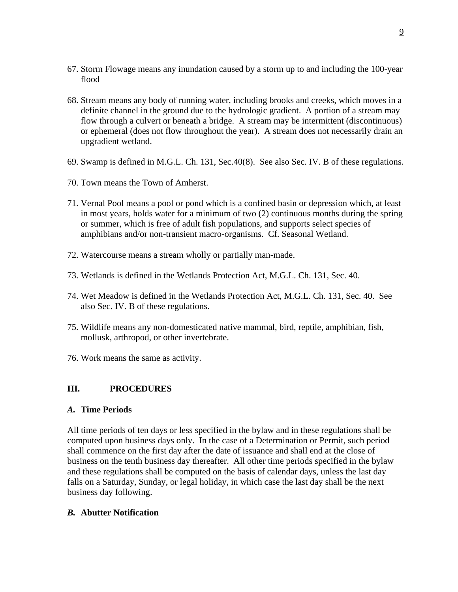- 67. Storm Flowage means any inundation caused by a storm up to and including the 100-year flood
- 68. Stream means any body of running water, including brooks and creeks, which moves in a definite channel in the ground due to the hydrologic gradient. A portion of a stream may flow through a culvert or beneath a bridge. A stream may be intermittent (discontinuous) or ephemeral (does not flow throughout the year). A stream does not necessarily drain an upgradient wetland.
- 69. Swamp is defined in M.G.L. Ch. 131, Sec.40(8). See also Sec. IV. B of these regulations.
- 70. Town means the Town of Amherst.
- 71. Vernal Pool means a pool or pond which is a confined basin or depression which, at least in most years, holds water for a minimum of two (2) continuous months during the spring or summer, which is free of adult fish populations, and supports select species of amphibians and/or non-transient macro-organisms. Cf. Seasonal Wetland.
- 72. Watercourse means a stream wholly or partially man-made.
- 73. Wetlands is defined in the Wetlands Protection Act, M.G.L. Ch. 131, Sec. 40.
- 74. Wet Meadow is defined in the Wetlands Protection Act, M.G.L. Ch. 131, Sec. 40. See also Sec. IV. B of these regulations.
- 75. Wildlife means any non-domesticated native mammal, bird, reptile, amphibian, fish, mollusk, arthropod, or other invertebrate.
- 76. Work means the same as activity.

#### **III. PROCEDURES**

#### *A.* **Time Periods**

All time periods of ten days or less specified in the bylaw and in these regulations shall be computed upon business days only. In the case of a Determination or Permit, such period shall commence on the first day after the date of issuance and shall end at the close of business on the tenth business day thereafter. All other time periods specified in the bylaw and these regulations shall be computed on the basis of calendar days, unless the last day falls on a Saturday, Sunday, or legal holiday, in which case the last day shall be the next business day following.

#### *B.* **Abutter Notification**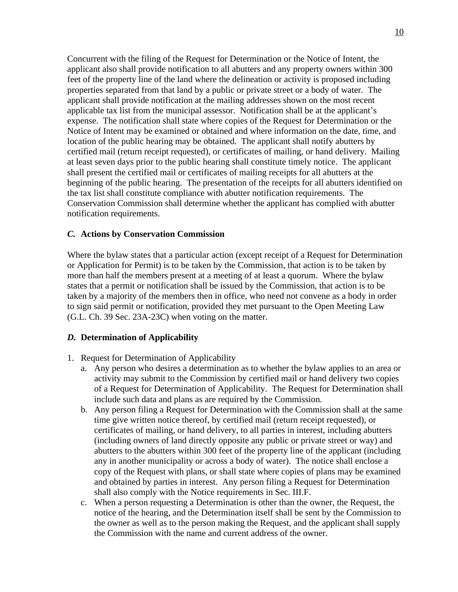Concurrent with the filing of the Request for Determination or the Notice of Intent, the applicant also shall provide notification to all abutters and any property owners within 300 feet of the property line of the land where the delineation or activity is proposed including properties separated from that land by a public or private street or a body of water. The applicant shall provide notification at the mailing addresses shown on the most recent applicable tax list from the municipal assessor. Notification shall be at the applicant's expense. The notification shall state where copies of the Request for Determination or the Notice of Intent may be examined or obtained and where information on the date, time, and location of the public hearing may be obtained. The applicant shall notify abutters by certified mail (return receipt requested), or certificates of mailing, or hand delivery. Mailing at least seven days prior to the public hearing shall constitute timely notice. The applicant shall present the certified mail or certificates of mailing receipts for all abutters at the beginning of the public hearing. The presentation of the receipts for all abutters identified on the tax list shall constitute compliance with abutter notification requirements. The Conservation Commission shall determine whether the applicant has complied with abutter notification requirements.

#### *C.* **Actions by Conservation Commission**

Where the bylaw states that a particular action (except receipt of a Request for Determination or Application for Permit) is to be taken by the Commission, that action is to be taken by more than half the members present at a meeting of at least a quorum. Where the bylaw states that a permit or notification shall be issued by the Commission, that action is to be taken by a majority of the members then in office, who need not convene as a body in order to sign said permit or notification, provided they met pursuant to the Open Meeting Law (G.L. Ch. 39 Sec. 23A-23C) when voting on the matter.

#### *D.* **Determination of Applicability**

- 1. Request for Determination of Applicability
	- a. Any person who desires a determination as to whether the bylaw applies to an area or activity may submit to the Commission by certified mail or hand delivery two copies of a Request for Determination of Applicability. The Request for Determination shall include such data and plans as are required by the Commission.
	- b. Any person filing a Request for Determination with the Commission shall at the same time give written notice thereof, by certified mail (return receipt requested), or certificates of mailing, or hand delivery, to all parties in interest, including abutters (including owners of land directly opposite any public or private street or way) and abutters to the abutters within 300 feet of the property line of the applicant (including any in another municipality or across a body of water). The notice shall enclose a copy of the Request with plans, or shall state where copies of plans may be examined and obtained by parties in interest. Any person filing a Request for Determination shall also comply with the Notice requirements in Sec. III.F.
	- c. When a person requesting a Determination is other than the owner, the Request, the notice of the hearing, and the Determination itself shall be sent by the Commission to the owner as well as to the person making the Request, and the applicant shall supply the Commission with the name and current address of the owner.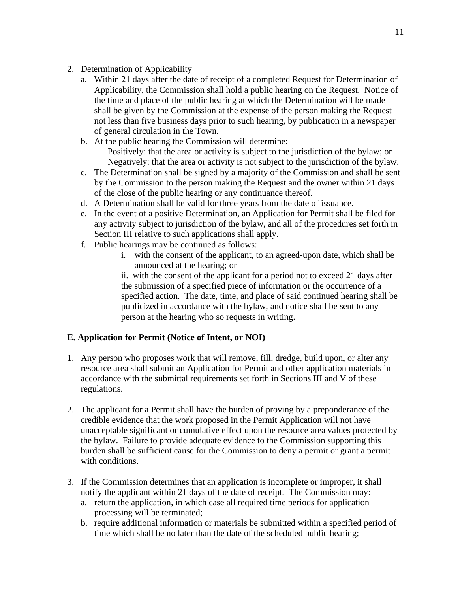- 2. Determination of Applicability
	- a. Within 21 days after the date of receipt of a completed Request for Determination of Applicability, the Commission shall hold a public hearing on the Request. Notice of the time and place of the public hearing at which the Determination will be made shall be given by the Commission at the expense of the person making the Request not less than five business days prior to such hearing, by publication in a newspaper of general circulation in the Town.
	- b. At the public hearing the Commission will determine: Positively: that the area or activity is subject to the jurisdiction of the bylaw; or Negatively: that the area or activity is not subject to the jurisdiction of the bylaw.
	- c. The Determination shall be signed by a majority of the Commission and shall be sent by the Commission to the person making the Request and the owner within 21 days of the close of the public hearing or any continuance thereof.
	- d. A Determination shall be valid for three years from the date of issuance.
	- e. In the event of a positive Determination, an Application for Permit shall be filed for any activity subject to jurisdiction of the bylaw, and all of the procedures set forth in Section III relative to such applications shall apply.
	- f. Public hearings may be continued as follows:
		- i. with the consent of the applicant, to an agreed-upon date, which shall be announced at the hearing; or

ii. with the consent of the applicant for a period not to exceed 21 days after the submission of a specified piece of information or the occurrence of a specified action. The date, time, and place of said continued hearing shall be publicized in accordance with the bylaw, and notice shall be sent to any person at the hearing who so requests in writing.

# **E. Application for Permit (Notice of Intent, or NOI)**

- 1. Any person who proposes work that will remove, fill, dredge, build upon, or alter any resource area shall submit an Application for Permit and other application materials in accordance with the submittal requirements set forth in Sections III and V of these regulations.
- 2. The applicant for a Permit shall have the burden of proving by a preponderance of the credible evidence that the work proposed in the Permit Application will not have unacceptable significant or cumulative effect upon the resource area values protected by the bylaw. Failure to provide adequate evidence to the Commission supporting this burden shall be sufficient cause for the Commission to deny a permit or grant a permit with conditions.
- 3. If the Commission determines that an application is incomplete or improper, it shall notify the applicant within 21 days of the date of receipt. The Commission may:
	- a. return the application, in which case all required time periods for application processing will be terminated;
	- b. require additional information or materials be submitted within a specified period of time which shall be no later than the date of the scheduled public hearing;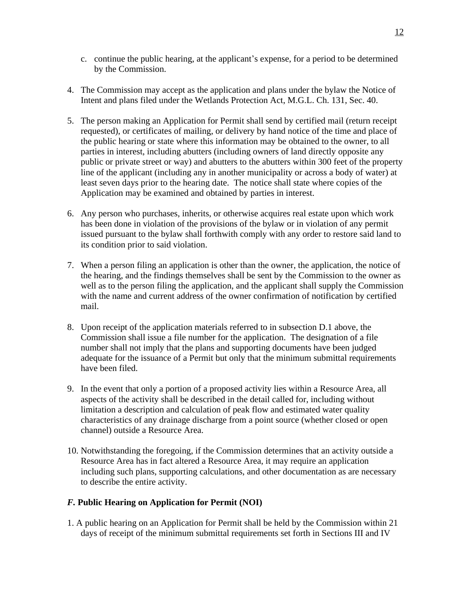- c. continue the public hearing, at the applicant's expense, for a period to be determined by the Commission.
- 4. The Commission may accept as the application and plans under the bylaw the Notice of Intent and plans filed under the Wetlands Protection Act, M.G.L. Ch. 131, Sec. 40.
- 5. The person making an Application for Permit shall send by certified mail (return receipt requested), or certificates of mailing, or delivery by hand notice of the time and place of the public hearing or state where this information may be obtained to the owner, to all parties in interest, including abutters (including owners of land directly opposite any public or private street or way) and abutters to the abutters within 300 feet of the property line of the applicant (including any in another municipality or across a body of water) at least seven days prior to the hearing date. The notice shall state where copies of the Application may be examined and obtained by parties in interest.
- 6. Any person who purchases, inherits, or otherwise acquires real estate upon which work has been done in violation of the provisions of the bylaw or in violation of any permit issued pursuant to the bylaw shall forthwith comply with any order to restore said land to its condition prior to said violation.
- 7. When a person filing an application is other than the owner, the application, the notice of the hearing, and the findings themselves shall be sent by the Commission to the owner as well as to the person filing the application, and the applicant shall supply the Commission with the name and current address of the owner confirmation of notification by certified mail.
- 8. Upon receipt of the application materials referred to in subsection D.1 above, the Commission shall issue a file number for the application. The designation of a file number shall not imply that the plans and supporting documents have been judged adequate for the issuance of a Permit but only that the minimum submittal requirements have been filed.
- 9. In the event that only a portion of a proposed activity lies within a Resource Area, all aspects of the activity shall be described in the detail called for, including without limitation a description and calculation of peak flow and estimated water quality characteristics of any drainage discharge from a point source (whether closed or open channel) outside a Resource Area.
- 10. Notwithstanding the foregoing, if the Commission determines that an activity outside a Resource Area has in fact altered a Resource Area, it may require an application including such plans, supporting calculations, and other documentation as are necessary to describe the entire activity.

# *F.* **Public Hearing on Application for Permit (NOI)**

1. A public hearing on an Application for Permit shall be held by the Commission within 21 days of receipt of the minimum submittal requirements set forth in Sections III and IV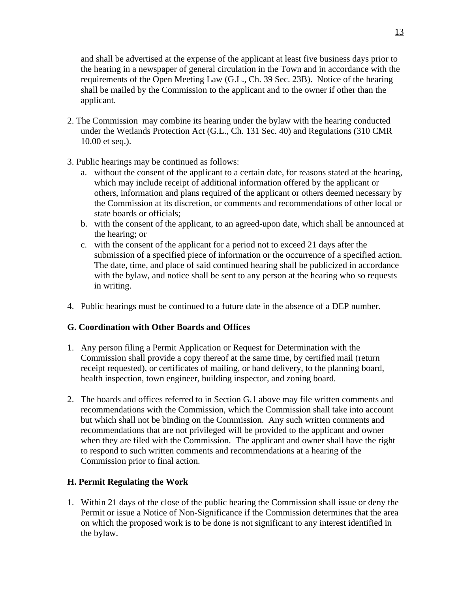and shall be advertised at the expense of the applicant at least five business days prior to the hearing in a newspaper of general circulation in the Town and in accordance with the requirements of the Open Meeting Law (G.L., Ch. 39 Sec. 23B). Notice of the hearing shall be mailed by the Commission to the applicant and to the owner if other than the applicant.

- 2. The Commission may combine its hearing under the bylaw with the hearing conducted under the Wetlands Protection Act (G.L., Ch. 131 Sec. 40) and Regulations (310 CMR 10.00 et seq.).
- 3. Public hearings may be continued as follows:
	- a. without the consent of the applicant to a certain date, for reasons stated at the hearing, which may include receipt of additional information offered by the applicant or others, information and plans required of the applicant or others deemed necessary by the Commission at its discretion, or comments and recommendations of other local or state boards or officials;
	- b. with the consent of the applicant, to an agreed-upon date, which shall be announced at the hearing; or
	- c. with the consent of the applicant for a period not to exceed 21 days after the submission of a specified piece of information or the occurrence of a specified action. The date, time, and place of said continued hearing shall be publicized in accordance with the bylaw, and notice shall be sent to any person at the hearing who so requests in writing.
- 4. Public hearings must be continued to a future date in the absence of a DEP number.

# **G. Coordination with Other Boards and Offices**

- 1. Any person filing a Permit Application or Request for Determination with the Commission shall provide a copy thereof at the same time, by certified mail (return receipt requested), or certificates of mailing, or hand delivery, to the planning board, health inspection, town engineer, building inspector, and zoning board.
- 2. The boards and offices referred to in Section G.1 above may file written comments and recommendations with the Commission, which the Commission shall take into account but which shall not be binding on the Commission. Any such written comments and recommendations that are not privileged will be provided to the applicant and owner when they are filed with the Commission. The applicant and owner shall have the right to respond to such written comments and recommendations at a hearing of the Commission prior to final action.

# **H. Permit Regulating the Work**

1. Within 21 days of the close of the public hearing the Commission shall issue or deny the Permit or issue a Notice of Non-Significance if the Commission determines that the area on which the proposed work is to be done is not significant to any interest identified in the bylaw.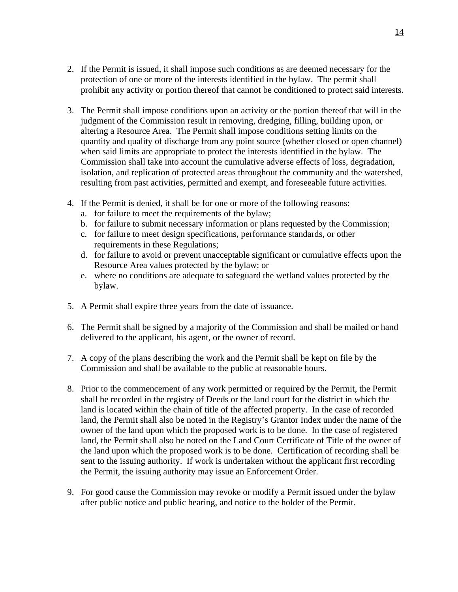- 2. If the Permit is issued, it shall impose such conditions as are deemed necessary for the protection of one or more of the interests identified in the bylaw. The permit shall prohibit any activity or portion thereof that cannot be conditioned to protect said interests.
- 3. The Permit shall impose conditions upon an activity or the portion thereof that will in the judgment of the Commission result in removing, dredging, filling, building upon, or altering a Resource Area. The Permit shall impose conditions setting limits on the quantity and quality of discharge from any point source (whether closed or open channel) when said limits are appropriate to protect the interests identified in the bylaw. The Commission shall take into account the cumulative adverse effects of loss, degradation, isolation, and replication of protected areas throughout the community and the watershed, resulting from past activities, permitted and exempt, and foreseeable future activities.
- 4. If the Permit is denied, it shall be for one or more of the following reasons:
	- a. for failure to meet the requirements of the bylaw;
	- b. for failure to submit necessary information or plans requested by the Commission;
	- c. for failure to meet design specifications, performance standards, or other requirements in these Regulations;
	- d. for failure to avoid or prevent unacceptable significant or cumulative effects upon the Resource Area values protected by the bylaw; or
	- e. where no conditions are adequate to safeguard the wetland values protected by the bylaw.
- 5. A Permit shall expire three years from the date of issuance.
- 6. The Permit shall be signed by a majority of the Commission and shall be mailed or hand delivered to the applicant, his agent, or the owner of record.
- 7. A copy of the plans describing the work and the Permit shall be kept on file by the Commission and shall be available to the public at reasonable hours.
- 8. Prior to the commencement of any work permitted or required by the Permit, the Permit shall be recorded in the registry of Deeds or the land court for the district in which the land is located within the chain of title of the affected property. In the case of recorded land, the Permit shall also be noted in the Registry's Grantor Index under the name of the owner of the land upon which the proposed work is to be done. In the case of registered land, the Permit shall also be noted on the Land Court Certificate of Title of the owner of the land upon which the proposed work is to be done. Certification of recording shall be sent to the issuing authority. If work is undertaken without the applicant first recording the Permit, the issuing authority may issue an Enforcement Order.
- 9. For good cause the Commission may revoke or modify a Permit issued under the bylaw after public notice and public hearing, and notice to the holder of the Permit.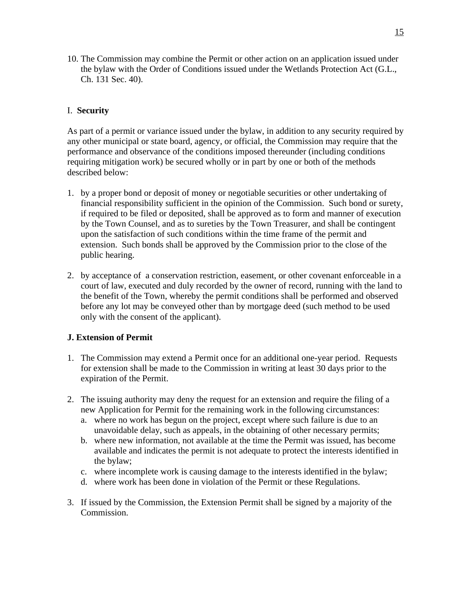10. The Commission may combine the Permit or other action on an application issued under the bylaw with the Order of Conditions issued under the Wetlands Protection Act (G.L., Ch. 131 Sec. 40).

#### I. **Security**

As part of a permit or variance issued under the bylaw, in addition to any security required by any other municipal or state board, agency, or official, the Commission may require that the performance and observance of the conditions imposed thereunder (including conditions requiring mitigation work) be secured wholly or in part by one or both of the methods described below:

- 1. by a proper bond or deposit of money or negotiable securities or other undertaking of financial responsibility sufficient in the opinion of the Commission. Such bond or surety, if required to be filed or deposited, shall be approved as to form and manner of execution by the Town Counsel, and as to sureties by the Town Treasurer, and shall be contingent upon the satisfaction of such conditions within the time frame of the permit and extension. Such bonds shall be approved by the Commission prior to the close of the public hearing.
- 2. by acceptance of a conservation restriction, easement, or other covenant enforceable in a court of law, executed and duly recorded by the owner of record, running with the land to the benefit of the Town, whereby the permit conditions shall be performed and observed before any lot may be conveyed other than by mortgage deed (such method to be used only with the consent of the applicant).

#### **J. Extension of Permit**

- 1. The Commission may extend a Permit once for an additional one-year period. Requests for extension shall be made to the Commission in writing at least 30 days prior to the expiration of the Permit.
- 2. The issuing authority may deny the request for an extension and require the filing of a new Application for Permit for the remaining work in the following circumstances:
	- a. where no work has begun on the project, except where such failure is due to an unavoidable delay, such as appeals, in the obtaining of other necessary permits;
	- b. where new information, not available at the time the Permit was issued, has become available and indicates the permit is not adequate to protect the interests identified in the bylaw;
	- c. where incomplete work is causing damage to the interests identified in the bylaw;
	- d. where work has been done in violation of the Permit or these Regulations.
- 3. If issued by the Commission, the Extension Permit shall be signed by a majority of the Commission.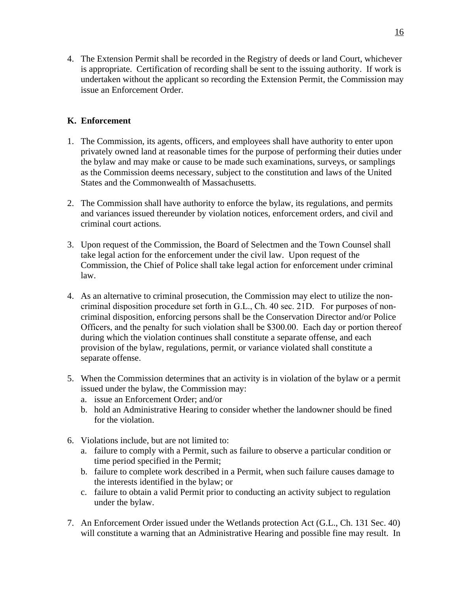4. The Extension Permit shall be recorded in the Registry of deeds or land Court, whichever is appropriate. Certification of recording shall be sent to the issuing authority. If work is undertaken without the applicant so recording the Extension Permit, the Commission may issue an Enforcement Order.

# **K. Enforcement**

- 1. The Commission, its agents, officers, and employees shall have authority to enter upon privately owned land at reasonable times for the purpose of performing their duties under the bylaw and may make or cause to be made such examinations, surveys, or samplings as the Commission deems necessary, subject to the constitution and laws of the United States and the Commonwealth of Massachusetts.
- 2. The Commission shall have authority to enforce the bylaw, its regulations, and permits and variances issued thereunder by violation notices, enforcement orders, and civil and criminal court actions.
- 3. Upon request of the Commission, the Board of Selectmen and the Town Counsel shall take legal action for the enforcement under the civil law. Upon request of the Commission, the Chief of Police shall take legal action for enforcement under criminal law.
- 4. As an alternative to criminal prosecution, the Commission may elect to utilize the noncriminal disposition procedure set forth in G.L., Ch. 40 sec. 21D. For purposes of noncriminal disposition, enforcing persons shall be the Conservation Director and/or Police Officers, and the penalty for such violation shall be \$300.00. Each day or portion thereof during which the violation continues shall constitute a separate offense, and each provision of the bylaw, regulations, permit, or variance violated shall constitute a separate offense.
- 5. When the Commission determines that an activity is in violation of the bylaw or a permit issued under the bylaw, the Commission may:
	- a. issue an Enforcement Order; and/or
	- b. hold an Administrative Hearing to consider whether the landowner should be fined for the violation.
- 6. Violations include, but are not limited to:
	- a. failure to comply with a Permit, such as failure to observe a particular condition or time period specified in the Permit;
	- b. failure to complete work described in a Permit, when such failure causes damage to the interests identified in the bylaw; or
	- c. failure to obtain a valid Permit prior to conducting an activity subject to regulation under the bylaw.
- 7. An Enforcement Order issued under the Wetlands protection Act (G.L., Ch. 131 Sec. 40) will constitute a warning that an Administrative Hearing and possible fine may result. In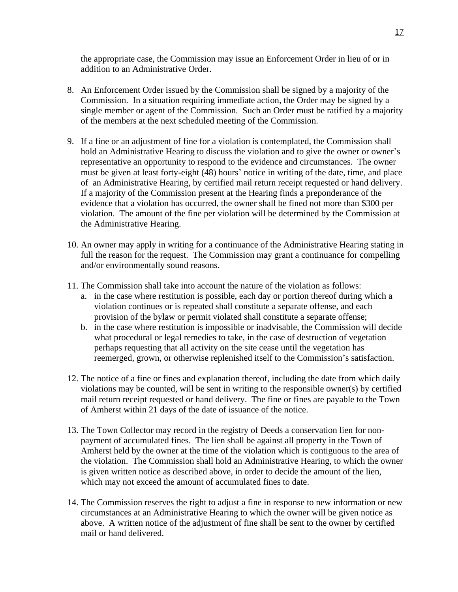the appropriate case, the Commission may issue an Enforcement Order in lieu of or in addition to an Administrative Order.

- 8. An Enforcement Order issued by the Commission shall be signed by a majority of the Commission. In a situation requiring immediate action, the Order may be signed by a single member or agent of the Commission. Such an Order must be ratified by a majority of the members at the next scheduled meeting of the Commission.
- 9. If a fine or an adjustment of fine for a violation is contemplated, the Commission shall hold an Administrative Hearing to discuss the violation and to give the owner or owner's representative an opportunity to respond to the evidence and circumstances. The owner must be given at least forty-eight (48) hours' notice in writing of the date, time, and place of an Administrative Hearing, by certified mail return receipt requested or hand delivery. If a majority of the Commission present at the Hearing finds a preponderance of the evidence that a violation has occurred, the owner shall be fined not more than \$300 per violation. The amount of the fine per violation will be determined by the Commission at the Administrative Hearing.
- 10. An owner may apply in writing for a continuance of the Administrative Hearing stating in full the reason for the request. The Commission may grant a continuance for compelling and/or environmentally sound reasons.
- 11. The Commission shall take into account the nature of the violation as follows:
	- a. in the case where restitution is possible, each day or portion thereof during which a violation continues or is repeated shall constitute a separate offense, and each provision of the bylaw or permit violated shall constitute a separate offense;
	- b. in the case where restitution is impossible or inadvisable, the Commission will decide what procedural or legal remedies to take, in the case of destruction of vegetation perhaps requesting that all activity on the site cease until the vegetation has reemerged, grown, or otherwise replenished itself to the Commission's satisfaction.
- 12. The notice of a fine or fines and explanation thereof, including the date from which daily violations may be counted, will be sent in writing to the responsible owner(s) by certified mail return receipt requested or hand delivery. The fine or fines are payable to the Town of Amherst within 21 days of the date of issuance of the notice.
- 13. The Town Collector may record in the registry of Deeds a conservation lien for nonpayment of accumulated fines. The lien shall be against all property in the Town of Amherst held by the owner at the time of the violation which is contiguous to the area of the violation. The Commission shall hold an Administrative Hearing, to which the owner is given written notice as described above, in order to decide the amount of the lien, which may not exceed the amount of accumulated fines to date.
- 14. The Commission reserves the right to adjust a fine in response to new information or new circumstances at an Administrative Hearing to which the owner will be given notice as above. A written notice of the adjustment of fine shall be sent to the owner by certified mail or hand delivered.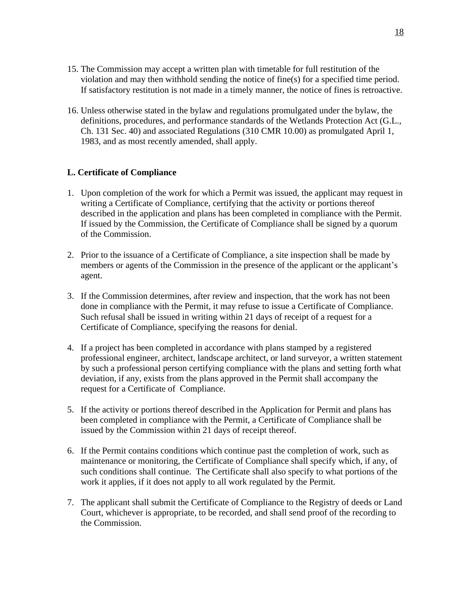- 15. The Commission may accept a written plan with timetable for full restitution of the violation and may then withhold sending the notice of fine(s) for a specified time period. If satisfactory restitution is not made in a timely manner, the notice of fines is retroactive.
- 16. Unless otherwise stated in the bylaw and regulations promulgated under the bylaw, the definitions, procedures, and performance standards of the Wetlands Protection Act (G.L., Ch. 131 Sec. 40) and associated Regulations (310 CMR 10.00) as promulgated April 1, 1983, and as most recently amended, shall apply.

#### **L. Certificate of Compliance**

- 1. Upon completion of the work for which a Permit was issued, the applicant may request in writing a Certificate of Compliance, certifying that the activity or portions thereof described in the application and plans has been completed in compliance with the Permit. If issued by the Commission, the Certificate of Compliance shall be signed by a quorum of the Commission.
- 2. Prior to the issuance of a Certificate of Compliance, a site inspection shall be made by members or agents of the Commission in the presence of the applicant or the applicant's agent.
- 3. If the Commission determines, after review and inspection, that the work has not been done in compliance with the Permit, it may refuse to issue a Certificate of Compliance. Such refusal shall be issued in writing within 21 days of receipt of a request for a Certificate of Compliance, specifying the reasons for denial.
- 4. If a project has been completed in accordance with plans stamped by a registered professional engineer, architect, landscape architect, or land surveyor, a written statement by such a professional person certifying compliance with the plans and setting forth what deviation, if any, exists from the plans approved in the Permit shall accompany the request for a Certificate of Compliance.
- 5. If the activity or portions thereof described in the Application for Permit and plans has been completed in compliance with the Permit, a Certificate of Compliance shall be issued by the Commission within 21 days of receipt thereof.
- 6. If the Permit contains conditions which continue past the completion of work, such as maintenance or monitoring, the Certificate of Compliance shall specify which, if any, of such conditions shall continue. The Certificate shall also specify to what portions of the work it applies, if it does not apply to all work regulated by the Permit.
- 7. The applicant shall submit the Certificate of Compliance to the Registry of deeds or Land Court, whichever is appropriate, to be recorded, and shall send proof of the recording to the Commission.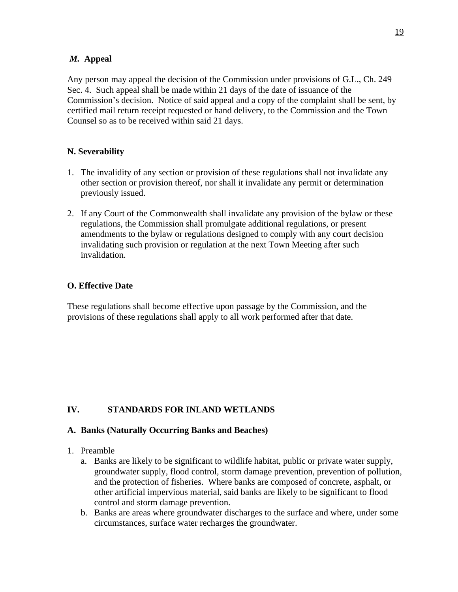#### *M.* **Appeal**

Any person may appeal the decision of the Commission under provisions of G.L., Ch. 249 Sec. 4. Such appeal shall be made within 21 days of the date of issuance of the Commission's decision. Notice of said appeal and a copy of the complaint shall be sent, by certified mail return receipt requested or hand delivery, to the Commission and the Town Counsel so as to be received within said 21 days.

# **N. Severability**

- 1. The invalidity of any section or provision of these regulations shall not invalidate any other section or provision thereof, nor shall it invalidate any permit or determination previously issued.
- 2. If any Court of the Commonwealth shall invalidate any provision of the bylaw or these regulations, the Commission shall promulgate additional regulations, or present amendments to the bylaw or regulations designed to comply with any court decision invalidating such provision or regulation at the next Town Meeting after such invalidation.

# **O. Effective Date**

These regulations shall become effective upon passage by the Commission, and the provisions of these regulations shall apply to all work performed after that date.

# **IV. STANDARDS FOR INLAND WETLANDS**

# **A. Banks (Naturally Occurring Banks and Beaches)**

- 1. Preamble
	- a. Banks are likely to be significant to wildlife habitat, public or private water supply, groundwater supply, flood control, storm damage prevention, prevention of pollution, and the protection of fisheries. Where banks are composed of concrete, asphalt, or other artificial impervious material, said banks are likely to be significant to flood control and storm damage prevention.
	- b. Banks are areas where groundwater discharges to the surface and where, under some circumstances, surface water recharges the groundwater.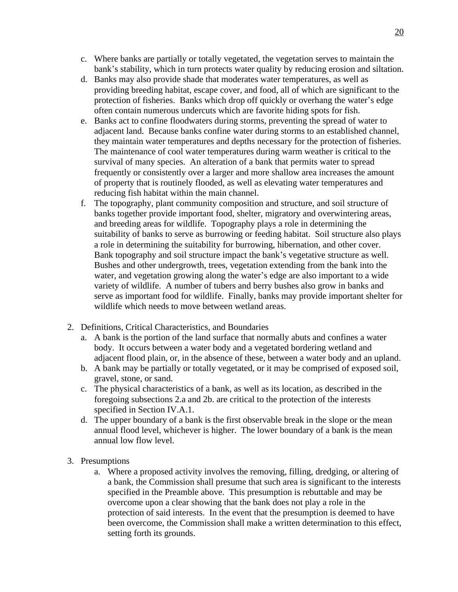- c. Where banks are partially or totally vegetated, the vegetation serves to maintain the bank's stability, which in turn protects water quality by reducing erosion and siltation.
- d. Banks may also provide shade that moderates water temperatures, as well as providing breeding habitat, escape cover, and food, all of which are significant to the protection of fisheries. Banks which drop off quickly or overhang the water's edge often contain numerous undercuts which are favorite hiding spots for fish.
- e. Banks act to confine floodwaters during storms, preventing the spread of water to adjacent land. Because banks confine water during storms to an established channel, they maintain water temperatures and depths necessary for the protection of fisheries. The maintenance of cool water temperatures during warm weather is critical to the survival of many species. An alteration of a bank that permits water to spread frequently or consistently over a larger and more shallow area increases the amount of property that is routinely flooded, as well as elevating water temperatures and reducing fish habitat within the main channel.
- f. The topography, plant community composition and structure, and soil structure of banks together provide important food, shelter, migratory and overwintering areas, and breeding areas for wildlife. Topography plays a role in determining the suitability of banks to serve as burrowing or feeding habitat. Soil structure also plays a role in determining the suitability for burrowing, hibernation, and other cover. Bank topography and soil structure impact the bank's vegetative structure as well. Bushes and other undergrowth, trees, vegetation extending from the bank into the water, and vegetation growing along the water's edge are also important to a wide variety of wildlife. A number of tubers and berry bushes also grow in banks and serve as important food for wildlife. Finally, banks may provide important shelter for wildlife which needs to move between wetland areas.
- 2. Definitions, Critical Characteristics, and Boundaries
	- a. A bank is the portion of the land surface that normally abuts and confines a water body. It occurs between a water body and a vegetated bordering wetland and adjacent flood plain, or, in the absence of these, between a water body and an upland.
	- b. A bank may be partially or totally vegetated, or it may be comprised of exposed soil, gravel, stone, or sand.
	- c. The physical characteristics of a bank, as well as its location, as described in the foregoing subsections 2.a and 2b. are critical to the protection of the interests specified in Section IV.A.1.
	- d. The upper boundary of a bank is the first observable break in the slope or the mean annual flood level, whichever is higher. The lower boundary of a bank is the mean annual low flow level.
- 3. Presumptions
	- a. Where a proposed activity involves the removing, filling, dredging, or altering of a bank, the Commission shall presume that such area is significant to the interests specified in the Preamble above. This presumption is rebuttable and may be overcome upon a clear showing that the bank does not play a role in the protection of said interests. In the event that the presumption is deemed to have been overcome, the Commission shall make a written determination to this effect, setting forth its grounds.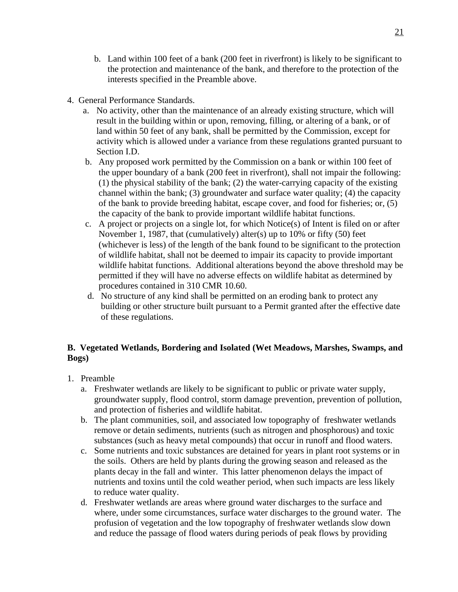- b. Land within 100 feet of a bank (200 feet in riverfront) is likely to be significant to the protection and maintenance of the bank, and therefore to the protection of the interests specified in the Preamble above.
- 4. General Performance Standards.
	- a. No activity, other than the maintenance of an already existing structure, which will result in the building within or upon, removing, filling, or altering of a bank, or of land within 50 feet of any bank, shall be permitted by the Commission, except for activity which is allowed under a variance from these regulations granted pursuant to Section I.D.
	- b. Any proposed work permitted by the Commission on a bank or within 100 feet of the upper boundary of a bank (200 feet in riverfront), shall not impair the following: (1) the physical stability of the bank; (2) the water-carrying capacity of the existing channel within the bank; (3) groundwater and surface water quality; (4) the capacity of the bank to provide breeding habitat, escape cover, and food for fisheries; or, (5) the capacity of the bank to provide important wildlife habitat functions.
	- c. A project or projects on a single lot, for which Notice(s) of Intent is filed on or after November 1, 1987, that (cumulatively) alter(s) up to 10% or fifty (50) feet (whichever is less) of the length of the bank found to be significant to the protection of wildlife habitat, shall not be deemed to impair its capacity to provide important wildlife habitat functions. Additional alterations beyond the above threshold may be permitted if they will have no adverse effects on wildlife habitat as determined by procedures contained in 310 CMR 10.60.
	- d. No structure of any kind shall be permitted on an eroding bank to protect any building or other structure built pursuant to a Permit granted after the effective date of these regulations.

# **B. Vegetated Wetlands, Bordering and Isolated (Wet Meadows, Marshes, Swamps, and Bogs)**

- 1. Preamble
	- a. Freshwater wetlands are likely to be significant to public or private water supply, groundwater supply, flood control, storm damage prevention, prevention of pollution, and protection of fisheries and wildlife habitat.
	- b. The plant communities, soil, and associated low topography of freshwater wetlands remove or detain sediments, nutrients (such as nitrogen and phosphorous) and toxic substances (such as heavy metal compounds) that occur in runoff and flood waters.
	- c. Some nutrients and toxic substances are detained for years in plant root systems or in the soils. Others are held by plants during the growing season and released as the plants decay in the fall and winter. This latter phenomenon delays the impact of nutrients and toxins until the cold weather period, when such impacts are less likely to reduce water quality.
	- d. Freshwater wetlands are areas where ground water discharges to the surface and where, under some circumstances, surface water discharges to the ground water. The profusion of vegetation and the low topography of freshwater wetlands slow down and reduce the passage of flood waters during periods of peak flows by providing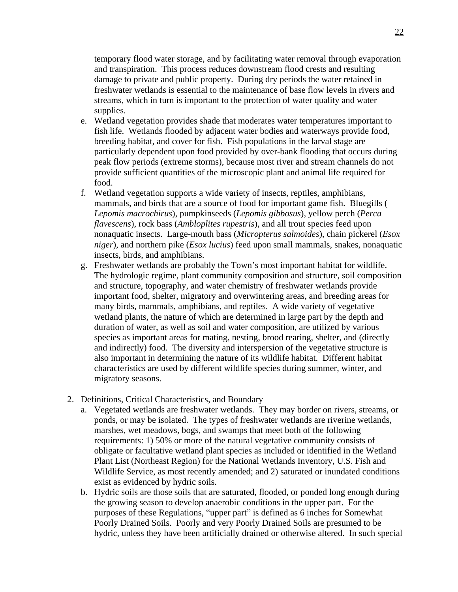temporary flood water storage, and by facilitating water removal through evaporation and transpiration. This process reduces downstream flood crests and resulting damage to private and public property. During dry periods the water retained in freshwater wetlands is essential to the maintenance of base flow levels in rivers and streams, which in turn is important to the protection of water quality and water supplies.

- e. Wetland vegetation provides shade that moderates water temperatures important to fish life. Wetlands flooded by adjacent water bodies and waterways provide food, breeding habitat, and cover for fish. Fish populations in the larval stage are particularly dependent upon food provided by over-bank flooding that occurs during peak flow periods (extreme storms), because most river and stream channels do not provide sufficient quantities of the microscopic plant and animal life required for food.
- f. Wetland vegetation supports a wide variety of insects, reptiles, amphibians, mammals, and birds that are a source of food for important game fish. Bluegills ( *Lepomis macrochirus*), pumpkinseeds (*Lepomis gibbosus*), yellow perch (*Perca flavescens*), rock bass (*Ambloplites rupestris*), and all trout species feed upon nonaquatic insects. Large-mouth bass (*Micropterus salmoides*), chain pickerel (*Esox niger*), and northern pike (*Esox lucius*) feed upon small mammals, snakes, nonaquatic insects, birds, and amphibians.
- g. Freshwater wetlands are probably the Town's most important habitat for wildlife. The hydrologic regime, plant community composition and structure, soil composition and structure, topography, and water chemistry of freshwater wetlands provide important food, shelter, migratory and overwintering areas, and breeding areas for many birds, mammals, amphibians, and reptiles. A wide variety of vegetative wetland plants, the nature of which are determined in large part by the depth and duration of water, as well as soil and water composition, are utilized by various species as important areas for mating, nesting, brood rearing, shelter, and (directly and indirectly) food. The diversity and interspersion of the vegetative structure is also important in determining the nature of its wildlife habitat. Different habitat characteristics are used by different wildlife species during summer, winter, and migratory seasons.
- 2. Definitions, Critical Characteristics, and Boundary
	- a. Vegetated wetlands are freshwater wetlands. They may border on rivers, streams, or ponds, or may be isolated. The types of freshwater wetlands are riverine wetlands, marshes, wet meadows, bogs, and swamps that meet both of the following requirements: 1) 50% or more of the natural vegetative community consists of obligate or facultative wetland plant species as included or identified in the Wetland Plant List (Northeast Region) for the National Wetlands Inventory, U.S. Fish and Wildlife Service, as most recently amended; and 2) saturated or inundated conditions exist as evidenced by hydric soils.
	- b. Hydric soils are those soils that are saturated, flooded, or ponded long enough during the growing season to develop anaerobic conditions in the upper part. For the purposes of these Regulations, "upper part" is defined as 6 inches for Somewhat Poorly Drained Soils. Poorly and very Poorly Drained Soils are presumed to be hydric, unless they have been artificially drained or otherwise altered. In such special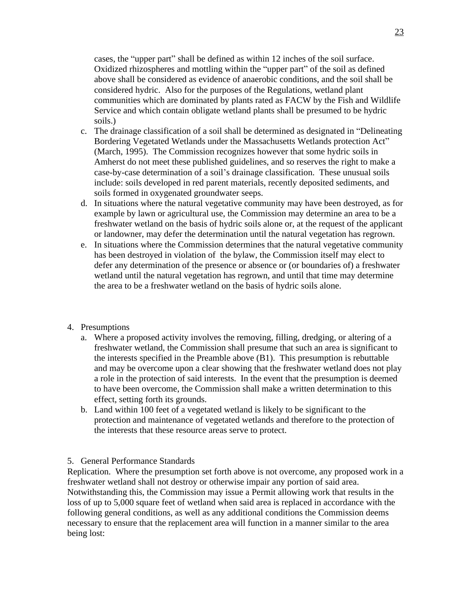cases, the "upper part" shall be defined as within 12 inches of the soil surface. Oxidized rhizospheres and mottling within the "upper part" of the soil as defined above shall be considered as evidence of anaerobic conditions, and the soil shall be considered hydric. Also for the purposes of the Regulations, wetland plant communities which are dominated by plants rated as FACW by the Fish and Wildlife Service and which contain obligate wetland plants shall be presumed to be hydric soils.)

- c. The drainage classification of a soil shall be determined as designated in "Delineating Bordering Vegetated Wetlands under the Massachusetts Wetlands protection Act" (March, 1995). The Commission recognizes however that some hydric soils in Amherst do not meet these published guidelines, and so reserves the right to make a case-by-case determination of a soil's drainage classification. These unusual soils include: soils developed in red parent materials, recently deposited sediments, and soils formed in oxygenated groundwater seeps.
- d. In situations where the natural vegetative community may have been destroyed, as for example by lawn or agricultural use, the Commission may determine an area to be a freshwater wetland on the basis of hydric soils alone or, at the request of the applicant or landowner, may defer the determination until the natural vegetation has regrown.
- e. In situations where the Commission determines that the natural vegetative community has been destroyed in violation of the bylaw, the Commission itself may elect to defer any determination of the presence or absence or (or boundaries of) a freshwater wetland until the natural vegetation has regrown, and until that time may determine the area to be a freshwater wetland on the basis of hydric soils alone.

#### 4. Presumptions

- a. Where a proposed activity involves the removing, filling, dredging, or altering of a freshwater wetland, the Commission shall presume that such an area is significant to the interests specified in the Preamble above (B1). This presumption is rebuttable and may be overcome upon a clear showing that the freshwater wetland does not play a role in the protection of said interests. In the event that the presumption is deemed to have been overcome, the Commission shall make a written determination to this effect, setting forth its grounds.
- b. Land within 100 feet of a vegetated wetland is likely to be significant to the protection and maintenance of vegetated wetlands and therefore to the protection of the interests that these resource areas serve to protect.

#### 5. General Performance Standards

Replication. Where the presumption set forth above is not overcome, any proposed work in a freshwater wetland shall not destroy or otherwise impair any portion of said area. Notwithstanding this, the Commission may issue a Permit allowing work that results in the loss of up to 5,000 square feet of wetland when said area is replaced in accordance with the following general conditions, as well as any additional conditions the Commission deems necessary to ensure that the replacement area will function in a manner similar to the area being lost: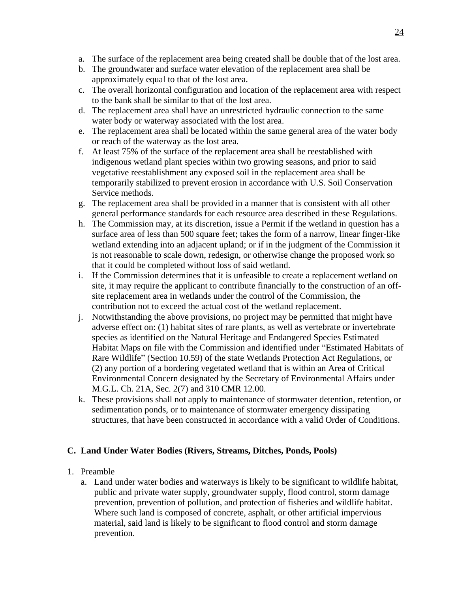- a. The surface of the replacement area being created shall be double that of the lost area.
- b. The groundwater and surface water elevation of the replacement area shall be approximately equal to that of the lost area.
- c. The overall horizontal configuration and location of the replacement area with respect to the bank shall be similar to that of the lost area.
- d. The replacement area shall have an unrestricted hydraulic connection to the same water body or waterway associated with the lost area.
- e. The replacement area shall be located within the same general area of the water body or reach of the waterway as the lost area.
- f. At least 75% of the surface of the replacement area shall be reestablished with indigenous wetland plant species within two growing seasons, and prior to said vegetative reestablishment any exposed soil in the replacement area shall be temporarily stabilized to prevent erosion in accordance with U.S. Soil Conservation Service methods.
- g. The replacement area shall be provided in a manner that is consistent with all other general performance standards for each resource area described in these Regulations.
- h. The Commission may, at its discretion, issue a Permit if the wetland in question has a surface area of less than 500 square feet; takes the form of a narrow, linear finger-like wetland extending into an adjacent upland; or if in the judgment of the Commission it is not reasonable to scale down, redesign, or otherwise change the proposed work so that it could be completed without loss of said wetland.
- i. If the Commission determines that it is unfeasible to create a replacement wetland on site, it may require the applicant to contribute financially to the construction of an offsite replacement area in wetlands under the control of the Commission, the contribution not to exceed the actual cost of the wetland replacement.
- j. Notwithstanding the above provisions, no project may be permitted that might have adverse effect on: (1) habitat sites of rare plants, as well as vertebrate or invertebrate species as identified on the Natural Heritage and Endangered Species Estimated Habitat Maps on file with the Commission and identified under "Estimated Habitats of Rare Wildlife" (Section 10.59) of the state Wetlands Protection Act Regulations, or (2) any portion of a bordering vegetated wetland that is within an Area of Critical Environmental Concern designated by the Secretary of Environmental Affairs under M.G.L. Ch. 21A, Sec. 2(7) and 310 CMR 12.00.
- k. These provisions shall not apply to maintenance of stormwater detention, retention, or sedimentation ponds, or to maintenance of stormwater emergency dissipating structures, that have been constructed in accordance with a valid Order of Conditions.

# **C. Land Under Water Bodies (Rivers, Streams, Ditches, Ponds, Pools)**

- 1. Preamble
	- a. Land under water bodies and waterways is likely to be significant to wildlife habitat, public and private water supply, groundwater supply, flood control, storm damage prevention, prevention of pollution, and protection of fisheries and wildlife habitat. Where such land is composed of concrete, asphalt, or other artificial impervious material, said land is likely to be significant to flood control and storm damage prevention.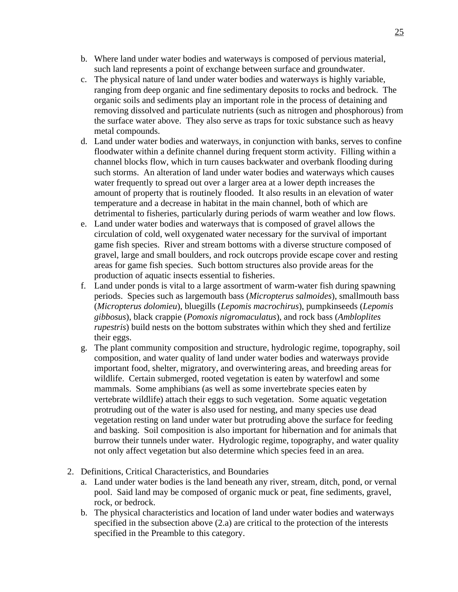- b. Where land under water bodies and waterways is composed of pervious material, such land represents a point of exchange between surface and groundwater.
- c. The physical nature of land under water bodies and waterways is highly variable, ranging from deep organic and fine sedimentary deposits to rocks and bedrock. The organic soils and sediments play an important role in the process of detaining and removing dissolved and particulate nutrients (such as nitrogen and phosphorous) from the surface water above. They also serve as traps for toxic substance such as heavy metal compounds.
- d. Land under water bodies and waterways, in conjunction with banks, serves to confine floodwater within a definite channel during frequent storm activity. Filling within a channel blocks flow, which in turn causes backwater and overbank flooding during such storms. An alteration of land under water bodies and waterways which causes water frequently to spread out over a larger area at a lower depth increases the amount of property that is routinely flooded. It also results in an elevation of water temperature and a decrease in habitat in the main channel, both of which are detrimental to fisheries, particularly during periods of warm weather and low flows.
- e. Land under water bodies and waterways that is composed of gravel allows the circulation of cold, well oxygenated water necessary for the survival of important game fish species. River and stream bottoms with a diverse structure composed of gravel, large and small boulders, and rock outcrops provide escape cover and resting areas for game fish species. Such bottom structures also provide areas for the production of aquatic insects essential to fisheries.
- f. Land under ponds is vital to a large assortment of warm-water fish during spawning periods. Species such as largemouth bass (*Micropterus salmoides*), smallmouth bass (*Micropterus dolomieu*), bluegills (*Lepomis macrochirus*), pumpkinseeds (*Lepomis gibbosus*), black crappie (*Pomoxis nigromaculatus*), and rock bass (*Ambloplites rupestris*) build nests on the bottom substrates within which they shed and fertilize their eggs.
- g. The plant community composition and structure, hydrologic regime, topography, soil composition, and water quality of land under water bodies and waterways provide important food, shelter, migratory, and overwintering areas, and breeding areas for wildlife. Certain submerged, rooted vegetation is eaten by waterfowl and some mammals. Some amphibians (as well as some invertebrate species eaten by vertebrate wildlife) attach their eggs to such vegetation. Some aquatic vegetation protruding out of the water is also used for nesting, and many species use dead vegetation resting on land under water but protruding above the surface for feeding and basking. Soil composition is also important for hibernation and for animals that burrow their tunnels under water. Hydrologic regime, topography, and water quality not only affect vegetation but also determine which species feed in an area.
- 2. Definitions, Critical Characteristics, and Boundaries
	- a. Land under water bodies is the land beneath any river, stream, ditch, pond, or vernal pool. Said land may be composed of organic muck or peat, fine sediments, gravel, rock, or bedrock.
	- b. The physical characteristics and location of land under water bodies and waterways specified in the subsection above (2.a) are critical to the protection of the interests specified in the Preamble to this category.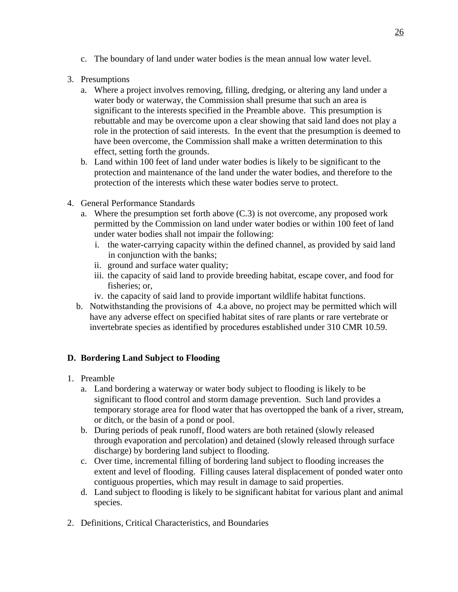- c. The boundary of land under water bodies is the mean annual low water level.
- 3. Presumptions
	- a. Where a project involves removing, filling, dredging, or altering any land under a water body or waterway, the Commission shall presume that such an area is significant to the interests specified in the Preamble above. This presumption is rebuttable and may be overcome upon a clear showing that said land does not play a role in the protection of said interests. In the event that the presumption is deemed to have been overcome, the Commission shall make a written determination to this effect, setting forth the grounds.
	- b. Land within 100 feet of land under water bodies is likely to be significant to the protection and maintenance of the land under the water bodies, and therefore to the protection of the interests which these water bodies serve to protect.
- 4. General Performance Standards
	- a. Where the presumption set forth above (C.3) is not overcome, any proposed work permitted by the Commission on land under water bodies or within 100 feet of land under water bodies shall not impair the following:
		- i. the water-carrying capacity within the defined channel, as provided by said land in conjunction with the banks;
		- ii. ground and surface water quality;
		- iii. the capacity of said land to provide breeding habitat, escape cover, and food for fisheries; or,
		- iv. the capacity of said land to provide important wildlife habitat functions.
	- b. Notwithstanding the provisions of 4.a above, no project may be permitted which will have any adverse effect on specified habitat sites of rare plants or rare vertebrate or invertebrate species as identified by procedures established under 310 CMR 10.59.

# **D. Bordering Land Subject to Flooding**

- 1. Preamble
	- a. Land bordering a waterway or water body subject to flooding is likely to be significant to flood control and storm damage prevention. Such land provides a temporary storage area for flood water that has overtopped the bank of a river, stream, or ditch, or the basin of a pond or pool.
	- b. During periods of peak runoff, flood waters are both retained (slowly released through evaporation and percolation) and detained (slowly released through surface discharge) by bordering land subject to flooding.
	- c. Over time, incremental filling of bordering land subject to flooding increases the extent and level of flooding. Filling causes lateral displacement of ponded water onto contiguous properties, which may result in damage to said properties.
	- d. Land subject to flooding is likely to be significant habitat for various plant and animal species.
- 2. Definitions, Critical Characteristics, and Boundaries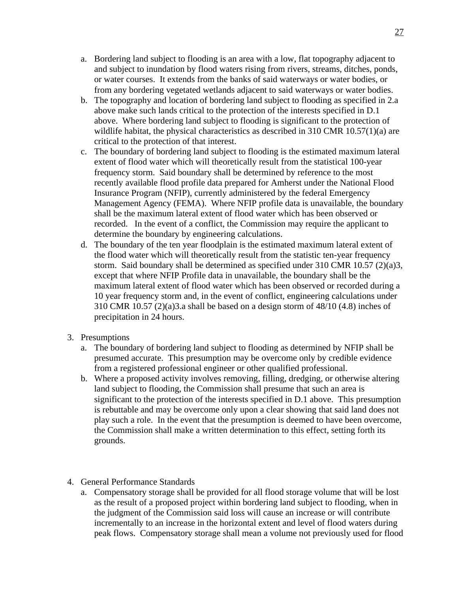- a. Bordering land subject to flooding is an area with a low, flat topography adjacent to and subject to inundation by flood waters rising from rivers, streams, ditches, ponds, or water courses. It extends from the banks of said waterways or water bodies, or from any bordering vegetated wetlands adjacent to said waterways or water bodies.
- b. The topography and location of bordering land subject to flooding as specified in 2.a above make such lands critical to the protection of the interests specified in D.1 above. Where bordering land subject to flooding is significant to the protection of wildlife habitat, the physical characteristics as described in 310 CMR 10.57(1)(a) are critical to the protection of that interest.
- c. The boundary of bordering land subject to flooding is the estimated maximum lateral extent of flood water which will theoretically result from the statistical 100-year frequency storm. Said boundary shall be determined by reference to the most recently available flood profile data prepared for Amherst under the National Flood Insurance Program (NFIP), currently administered by the federal Emergency Management Agency (FEMA). Where NFIP profile data is unavailable, the boundary shall be the maximum lateral extent of flood water which has been observed or recorded. In the event of a conflict, the Commission may require the applicant to determine the boundary by engineering calculations.
- d. The boundary of the ten year floodplain is the estimated maximum lateral extent of the flood water which will theoretically result from the statistic ten-year frequency storm. Said boundary shall be determined as specified under 310 CMR 10.57 (2)(a)3, except that where NFIP Profile data in unavailable, the boundary shall be the maximum lateral extent of flood water which has been observed or recorded during a 10 year frequency storm and, in the event of conflict, engineering calculations under 310 CMR 10.57 (2)(a)3.a shall be based on a design storm of 48/10 (4.8) inches of precipitation in 24 hours.
- 3. Presumptions
	- a. The boundary of bordering land subject to flooding as determined by NFIP shall be presumed accurate. This presumption may be overcome only by credible evidence from a registered professional engineer or other qualified professional.
	- b. Where a proposed activity involves removing, filling, dredging, or otherwise altering land subject to flooding, the Commission shall presume that such an area is significant to the protection of the interests specified in D.1 above. This presumption is rebuttable and may be overcome only upon a clear showing that said land does not play such a role. In the event that the presumption is deemed to have been overcome, the Commission shall make a written determination to this effect, setting forth its grounds.
- 4. General Performance Standards
	- a. Compensatory storage shall be provided for all flood storage volume that will be lost as the result of a proposed project within bordering land subject to flooding, when in the judgment of the Commission said loss will cause an increase or will contribute incrementally to an increase in the horizontal extent and level of flood waters during peak flows. Compensatory storage shall mean a volume not previously used for flood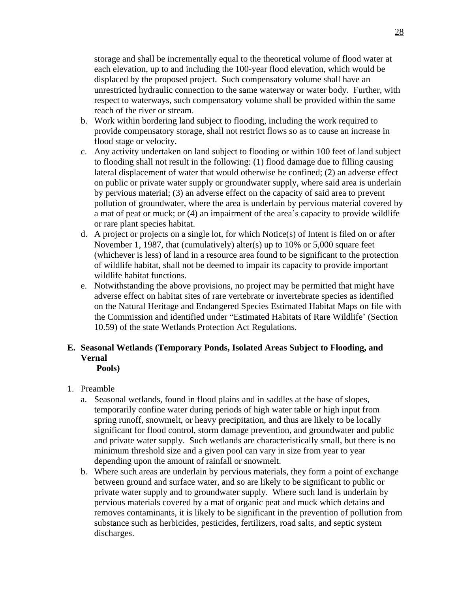storage and shall be incrementally equal to the theoretical volume of flood water at each elevation, up to and including the 100-year flood elevation, which would be displaced by the proposed project. Such compensatory volume shall have an unrestricted hydraulic connection to the same waterway or water body. Further, with respect to waterways, such compensatory volume shall be provided within the same reach of the river or stream.

- b. Work within bordering land subject to flooding, including the work required to provide compensatory storage, shall not restrict flows so as to cause an increase in flood stage or velocity.
- c. Any activity undertaken on land subject to flooding or within 100 feet of land subject to flooding shall not result in the following: (1) flood damage due to filling causing lateral displacement of water that would otherwise be confined; (2) an adverse effect on public or private water supply or groundwater supply, where said area is underlain by pervious material; (3) an adverse effect on the capacity of said area to prevent pollution of groundwater, where the area is underlain by pervious material covered by a mat of peat or muck; or (4) an impairment of the area's capacity to provide wildlife or rare plant species habitat.
- d. A project or projects on a single lot, for which Notice(s) of Intent is filed on or after November 1, 1987, that (cumulatively) alter(s) up to 10% or 5,000 square feet (whichever is less) of land in a resource area found to be significant to the protection of wildlife habitat, shall not be deemed to impair its capacity to provide important wildlife habitat functions.
- e. Notwithstanding the above provisions, no project may be permitted that might have adverse effect on habitat sites of rare vertebrate or invertebrate species as identified on the Natural Heritage and Endangered Species Estimated Habitat Maps on file with the Commission and identified under "Estimated Habitats of Rare Wildlife' (Section 10.59) of the state Wetlands Protection Act Regulations.

# **E. Seasonal Wetlands (Temporary Ponds, Isolated Areas Subject to Flooding, and Vernal**

 **Pools)**

- 1. Preamble
	- a. Seasonal wetlands, found in flood plains and in saddles at the base of slopes, temporarily confine water during periods of high water table or high input from spring runoff, snowmelt, or heavy precipitation, and thus are likely to be locally significant for flood control, storm damage prevention, and groundwater and public and private water supply. Such wetlands are characteristically small, but there is no minimum threshold size and a given pool can vary in size from year to year depending upon the amount of rainfall or snowmelt.
	- b. Where such areas are underlain by pervious materials, they form a point of exchange between ground and surface water, and so are likely to be significant to public or private water supply and to groundwater supply. Where such land is underlain by pervious materials covered by a mat of organic peat and muck which detains and removes contaminants, it is likely to be significant in the prevention of pollution from substance such as herbicides, pesticides, fertilizers, road salts, and septic system discharges.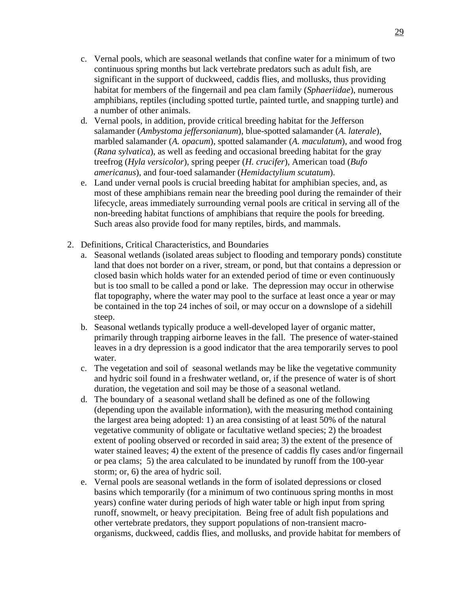- c. Vernal pools, which are seasonal wetlands that confine water for a minimum of two continuous spring months but lack vertebrate predators such as adult fish, are significant in the support of duckweed, caddis flies, and mollusks, thus providing habitat for members of the fingernail and pea clam family (*Sphaeriidae*), numerous amphibians, reptiles (including spotted turtle, painted turtle, and snapping turtle) and a number of other animals.
- d. Vernal pools, in addition, provide critical breeding habitat for the Jefferson salamander (*Ambystoma jeffersonianum*), blue-spotted salamander (*A. laterale*), marbled salamander (*A. opacum*), spotted salamander (*A. maculatum*), and wood frog (*Rana sylvatica*), as well as feeding and occasional breeding habitat for the gray treefrog (*Hyla versicolor*), spring peeper (*H. crucifer*), American toad (*Bufo americanus*), and four-toed salamander (*Hemidactylium scutatum*).
- e. Land under vernal pools is crucial breeding habitat for amphibian species, and, as most of these amphibians remain near the breeding pool during the remainder of their lifecycle, areas immediately surrounding vernal pools are critical in serving all of the non-breeding habitat functions of amphibians that require the pools for breeding. Such areas also provide food for many reptiles, birds, and mammals.
- 2. Definitions, Critical Characteristics, and Boundaries
	- a. Seasonal wetlands (isolated areas subject to flooding and temporary ponds) constitute land that does not border on a river, stream, or pond, but that contains a depression or closed basin which holds water for an extended period of time or even continuously but is too small to be called a pond or lake. The depression may occur in otherwise flat topography, where the water may pool to the surface at least once a year or may be contained in the top 24 inches of soil, or may occur on a downslope of a sidehill steep.
	- b. Seasonal wetlands typically produce a well-developed layer of organic matter, primarily through trapping airborne leaves in the fall. The presence of water-stained leaves in a dry depression is a good indicator that the area temporarily serves to pool water.
	- c. The vegetation and soil of seasonal wetlands may be like the vegetative community and hydric soil found in a freshwater wetland, or, if the presence of water is of short duration, the vegetation and soil may be those of a seasonal wetland.
	- d. The boundary of a seasonal wetland shall be defined as one of the following (depending upon the available information), with the measuring method containing the largest area being adopted: 1) an area consisting of at least 50% of the natural vegetative community of obligate or facultative wetland species; 2) the broadest extent of pooling observed or recorded in said area; 3) the extent of the presence of water stained leaves; 4) the extent of the presence of caddis fly cases and/or fingernail or pea clams; 5) the area calculated to be inundated by runoff from the 100-year storm; or, 6) the area of hydric soil.
	- e. Vernal pools are seasonal wetlands in the form of isolated depressions or closed basins which temporarily (for a minimum of two continuous spring months in most years) confine water during periods of high water table or high input from spring runoff, snowmelt, or heavy precipitation. Being free of adult fish populations and other vertebrate predators, they support populations of non-transient macroorganisms, duckweed, caddis flies, and mollusks, and provide habitat for members of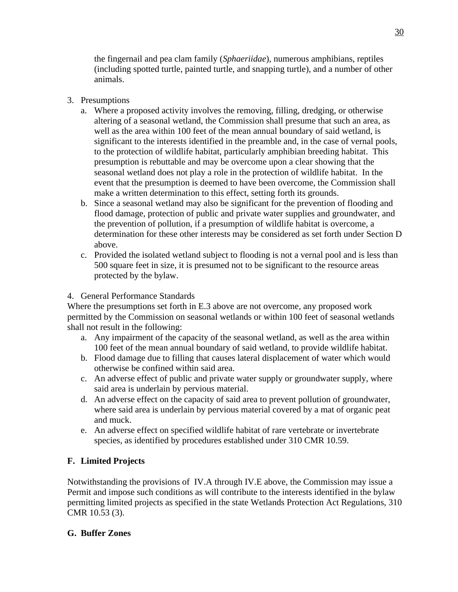the fingernail and pea clam family (*Sphaeriidae*), numerous amphibians, reptiles (including spotted turtle, painted turtle, and snapping turtle), and a number of other animals.

# 3. Presumptions

- a. Where a proposed activity involves the removing, filling, dredging, or otherwise altering of a seasonal wetland, the Commission shall presume that such an area, as well as the area within 100 feet of the mean annual boundary of said wetland, is significant to the interests identified in the preamble and, in the case of vernal pools, to the protection of wildlife habitat, particularly amphibian breeding habitat. This presumption is rebuttable and may be overcome upon a clear showing that the seasonal wetland does not play a role in the protection of wildlife habitat. In the event that the presumption is deemed to have been overcome, the Commission shall make a written determination to this effect, setting forth its grounds.
- b. Since a seasonal wetland may also be significant for the prevention of flooding and flood damage, protection of public and private water supplies and groundwater, and the prevention of pollution, if a presumption of wildlife habitat is overcome, a determination for these other interests may be considered as set forth under Section D above.
- c. Provided the isolated wetland subject to flooding is not a vernal pool and is less than 500 square feet in size, it is presumed not to be significant to the resource areas protected by the bylaw.

# 4. General Performance Standards

Where the presumptions set forth in E.3 above are not overcome, any proposed work permitted by the Commission on seasonal wetlands or within 100 feet of seasonal wetlands shall not result in the following:

- a. Any impairment of the capacity of the seasonal wetland, as well as the area within 100 feet of the mean annual boundary of said wetland, to provide wildlife habitat.
- b. Flood damage due to filling that causes lateral displacement of water which would otherwise be confined within said area.
- c. An adverse effect of public and private water supply or groundwater supply, where said area is underlain by pervious material.
- d. An adverse effect on the capacity of said area to prevent pollution of groundwater, where said area is underlain by pervious material covered by a mat of organic peat and muck.
- e. An adverse effect on specified wildlife habitat of rare vertebrate or invertebrate species, as identified by procedures established under 310 CMR 10.59.

# **F. Limited Projects**

Notwithstanding the provisions of IV.A through IV.E above, the Commission may issue a Permit and impose such conditions as will contribute to the interests identified in the bylaw permitting limited projects as specified in the state Wetlands Protection Act Regulations, 310 CMR 10.53 (3).

# **G. Buffer Zones**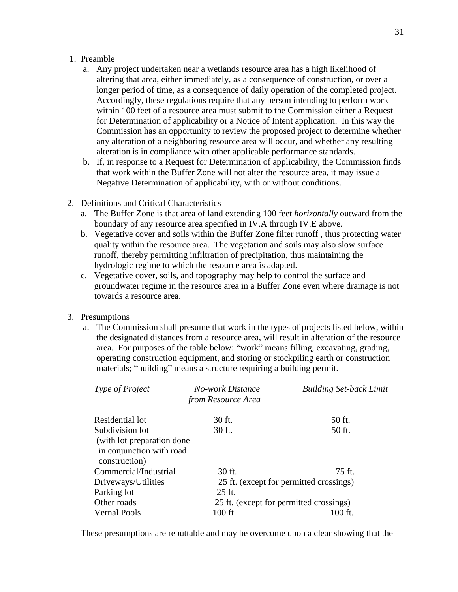#### 1. Preamble

- a. Any project undertaken near a wetlands resource area has a high likelihood of altering that area, either immediately, as a consequence of construction, or over a longer period of time, as a consequence of daily operation of the completed project. Accordingly, these regulations require that any person intending to perform work within 100 feet of a resource area must submit to the Commission either a Request for Determination of applicability or a Notice of Intent application. In this way the Commission has an opportunity to review the proposed project to determine whether any alteration of a neighboring resource area will occur, and whether any resulting alteration is in compliance with other applicable performance standards.
- b. If, in response to a Request for Determination of applicability, the Commission finds that work within the Buffer Zone will not alter the resource area, it may issue a Negative Determination of applicability, with or without conditions.
- 2. Definitions and Critical Characteristics
	- a. The Buffer Zone is that area of land extending 100 feet *horizontally* outward from the boundary of any resource area specified in IV.A through IV.E above.
	- b. Vegetative cover and soils within the Buffer Zone filter runoff , thus protecting water quality within the resource area. The vegetation and soils may also slow surface runoff, thereby permitting infiltration of precipitation, thus maintaining the hydrologic regime to which the resource area is adapted.
	- c. Vegetative cover, soils, and topography may help to control the surface and groundwater regime in the resource area in a Buffer Zone even where drainage is not towards a resource area.

#### 3. Presumptions

a. The Commission shall presume that work in the types of projects listed below, within the designated distances from a resource area, will result in alteration of the resource area. For purposes of the table below: "work" means filling, excavating, grading, operating construction equipment, and storing or stockpiling earth or construction materials; "building" means a structure requiring a building permit.

| Type of Project                                                          | No-work Distance<br>from Resource Area | <b>Building Set-back Limit</b>          |  |
|--------------------------------------------------------------------------|----------------------------------------|-----------------------------------------|--|
| Residential lot                                                          | 30 ft.                                 | 50 ft.                                  |  |
| Subdivision lot                                                          | $30$ ft.                               | 50 ft.                                  |  |
| (with lot preparation done)<br>in conjunction with road<br>construction) |                                        |                                         |  |
| Commercial/Industrial                                                    | $30$ ft.                               | $75$ ft.                                |  |
| Driveways/Utilities                                                      |                                        | 25 ft. (except for permitted crossings) |  |
| Parking lot                                                              | 25 ft.                                 |                                         |  |
| Other roads                                                              |                                        | 25 ft. (except for permitted crossings) |  |
| <b>Vernal Pools</b>                                                      | 100 ft.                                | 100 ft.                                 |  |

These presumptions are rebuttable and may be overcome upon a clear showing that the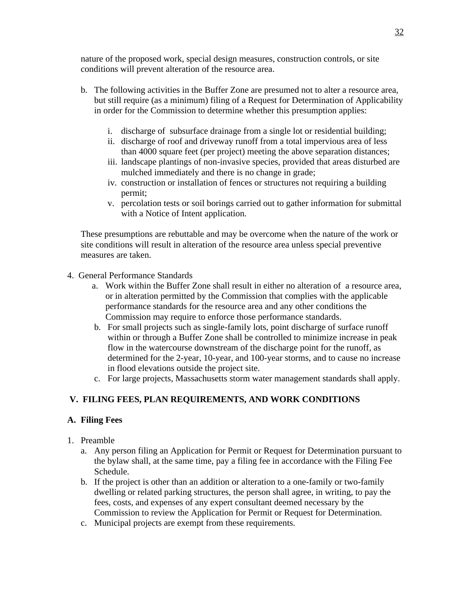nature of the proposed work, special design measures, construction controls, or site conditions will prevent alteration of the resource area.

- b. The following activities in the Buffer Zone are presumed not to alter a resource area, but still require (as a minimum) filing of a Request for Determination of Applicability in order for the Commission to determine whether this presumption applies:
	- i. discharge of subsurface drainage from a single lot or residential building;
	- ii. discharge of roof and driveway runoff from a total impervious area of less than 4000 square feet (per project) meeting the above separation distances;
	- iii. landscape plantings of non-invasive species, provided that areas disturbed are mulched immediately and there is no change in grade;
	- iv. construction or installation of fences or structures not requiring a building permit;
	- v. percolation tests or soil borings carried out to gather information for submittal with a Notice of Intent application.

 These presumptions are rebuttable and may be overcome when the nature of the work or site conditions will result in alteration of the resource area unless special preventive measures are taken.

- 4. General Performance Standards
	- a. Work within the Buffer Zone shall result in either no alteration of a resource area, or in alteration permitted by the Commission that complies with the applicable performance standards for the resource area and any other conditions the Commission may require to enforce those performance standards.
	- b. For small projects such as single-family lots, point discharge of surface runoff within or through a Buffer Zone shall be controlled to minimize increase in peak flow in the watercourse downstream of the discharge point for the runoff, as determined for the 2-year, 10-year, and 100-year storms, and to cause no increase in flood elevations outside the project site.
	- c. For large projects, Massachusetts storm water management standards shall apply.

# **V. FILING FEES, PLAN REQUIREMENTS, AND WORK CONDITIONS**

# **A. Filing Fees**

- 1. Preamble
	- a. Any person filing an Application for Permit or Request for Determination pursuant to the bylaw shall, at the same time, pay a filing fee in accordance with the Filing Fee Schedule.
	- b. If the project is other than an addition or alteration to a one-family or two-family dwelling or related parking structures, the person shall agree, in writing, to pay the fees, costs, and expenses of any expert consultant deemed necessary by the Commission to review the Application for Permit or Request for Determination.
	- c. Municipal projects are exempt from these requirements.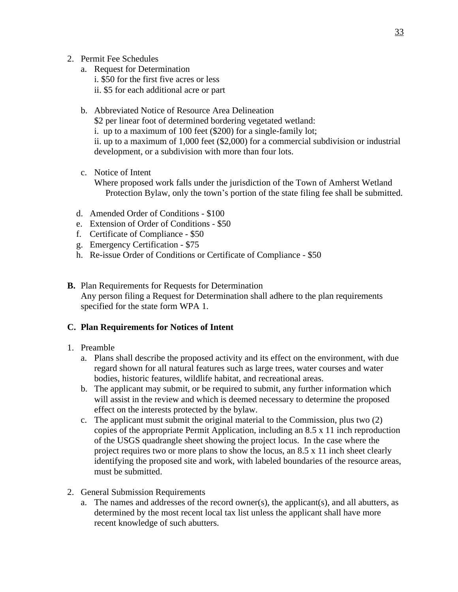- 2. Permit Fee Schedules
	- a. Request for Determination i. \$50 for the first five acres or less ii. \$5 for each additional acre or part
	- b. Abbreviated Notice of Resource Area Delineation \$2 per linear foot of determined bordering vegetated wetland: i. up to a maximum of 100 feet (\$200) for a single-family lot; ii. up to a maximum of 1,000 feet (\$2,000) for a commercial subdivision or industrial development, or a subdivision with more than four lots.
	- c. Notice of Intent
		- Where proposed work falls under the jurisdiction of the Town of Amherst Wetland Protection Bylaw, only the town's portion of the state filing fee shall be submitted.
	- d. Amended Order of Conditions \$100
	- e. Extension of Order of Conditions \$50
	- f. Certificate of Compliance \$50
	- g. Emergency Certification \$75
	- h. Re-issue Order of Conditions or Certificate of Compliance \$50
- **B.** Plan Requirements for Requests for Determination Any person filing a Request for Determination shall adhere to the plan requirements specified for the state form WPA 1.

#### **C. Plan Requirements for Notices of Intent**

- 1. Preamble
	- a. Plans shall describe the proposed activity and its effect on the environment, with due regard shown for all natural features such as large trees, water courses and water bodies, historic features, wildlife habitat, and recreational areas.
	- b. The applicant may submit, or be required to submit, any further information which will assist in the review and which is deemed necessary to determine the proposed effect on the interests protected by the bylaw.
	- c. The applicant must submit the original material to the Commission, plus two (2) copies of the appropriate Permit Application, including an 8.5 x 11 inch reproduction of the USGS quadrangle sheet showing the project locus. In the case where the project requires two or more plans to show the locus, an 8.5 x 11 inch sheet clearly identifying the proposed site and work, with labeled boundaries of the resource areas, must be submitted.
- 2. General Submission Requirements
	- a. The names and addresses of the record owner(s), the applicant(s), and all abutters, as determined by the most recent local tax list unless the applicant shall have more recent knowledge of such abutters.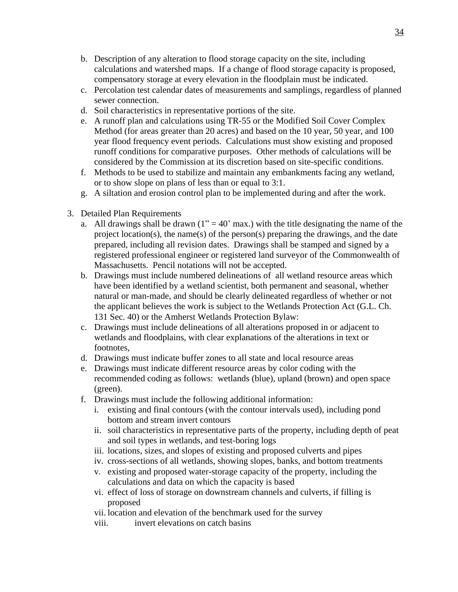- b. Description of any alteration to flood storage capacity on the site, including calculations and watershed maps. If a change of flood storage capacity is proposed, compensatory storage at every elevation in the floodplain must be indicated.
- c. Percolation test calendar dates of measurements and samplings, regardless of planned sewer connection.
- d. Soil characteristics in representative portions of the site.
- e. A runoff plan and calculations using TR-55 or the Modified Soil Cover Complex Method (for areas greater than 20 acres) and based on the 10 year, 50 year, and 100 year flood frequency event periods. Calculations must show existing and proposed runoff conditions for comparative purposes. Other methods of calculations will be considered by the Commission at its discretion based on site-specific conditions.
- f. Methods to be used to stabilize and maintain any embankments facing any wetland, or to show slope on plans of less than or equal to 3:1.
- g. A siltation and erosion control plan to be implemented during and after the work.
- 3. Detailed Plan Requirements
	- a. All drawings shall be drawn  $(1" = 40'$  max.) with the title designating the name of the project location(s), the name(s) of the person(s) preparing the drawings, and the date prepared, including all revision dates. Drawings shall be stamped and signed by a registered professional engineer or registered land surveyor of the Commonwealth of Massachusetts. Pencil notations will not be accepted.
	- b. Drawings must include numbered delineations of all wetland resource areas which have been identified by a wetland scientist, both permanent and seasonal, whether natural or man-made, and should be clearly delineated regardless of whether or not the applicant believes the work is subject to the Wetlands Protection Act (G.L. Ch. 131 Sec. 40) or the Amherst Wetlands Protection Bylaw:
	- c. Drawings must include delineations of all alterations proposed in or adjacent to wetlands and floodplains, with clear explanations of the alterations in text or footnotes,
	- d. Drawings must indicate buffer zones to all state and local resource areas
	- e. Drawings must indicate different resource areas by color coding with the recommended coding as follows: wetlands (blue), upland (brown) and open space (green).
	- f. Drawings must include the following additional information:
		- i. existing and final contours (with the contour intervals used), including pond bottom and stream invert contours
		- ii. soil characteristics in representative parts of the property, including depth of peat and soil types in wetlands, and test-boring logs
		- iii. locations, sizes, and slopes of existing and proposed culverts and pipes
		- iv. cross-sections of all wetlands, showing slopes, banks, and bottom treatments
		- v. existing and proposed water-storage capacity of the property, including the calculations and data on which the capacity is based
		- vi. effect of loss of storage on downstream channels and culverts, if filling is proposed
		- vii. location and elevation of the benchmark used for the survey
		- viii. invert elevations on catch basins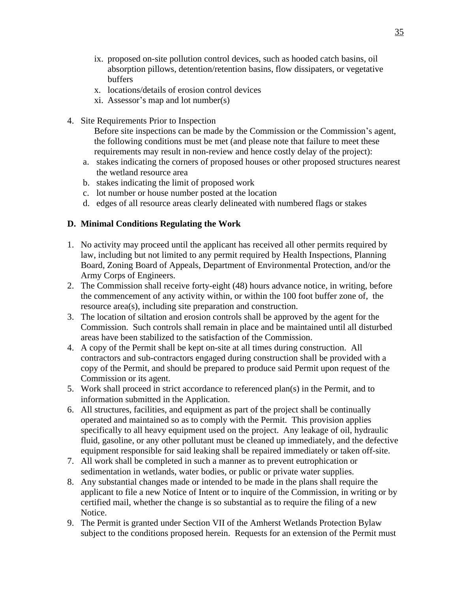- ix. proposed on-site pollution control devices, such as hooded catch basins, oil absorption pillows, detention/retention basins, flow dissipaters, or vegetative buffers
- x. locations/details of erosion control devices
- xi. Assessor's map and lot number(s)
- 4. Site Requirements Prior to Inspection
	- Before site inspections can be made by the Commission or the Commission's agent, the following conditions must be met (and please note that failure to meet these requirements may result in non-review and hence costly delay of the project):
	- a. stakes indicating the corners of proposed houses or other proposed structures nearest the wetland resource area
	- b. stakes indicating the limit of proposed work
	- c. lot number or house number posted at the location
	- d. edges of all resource areas clearly delineated with numbered flags or stakes

#### **D. Minimal Conditions Regulating the Work**

- 1. No activity may proceed until the applicant has received all other permits required by law, including but not limited to any permit required by Health Inspections, Planning Board, Zoning Board of Appeals, Department of Environmental Protection, and/or the Army Corps of Engineers.
- 2. The Commission shall receive forty-eight (48) hours advance notice, in writing, before the commencement of any activity within, or within the 100 foot buffer zone of, the resource area(s), including site preparation and construction.
- 3. The location of siltation and erosion controls shall be approved by the agent for the Commission. Such controls shall remain in place and be maintained until all disturbed areas have been stabilized to the satisfaction of the Commission.
- 4. A copy of the Permit shall be kept on-site at all times during construction. All contractors and sub-contractors engaged during construction shall be provided with a copy of the Permit, and should be prepared to produce said Permit upon request of the Commission or its agent.
- 5. Work shall proceed in strict accordance to referenced plan(s) in the Permit, and to information submitted in the Application.
- 6. All structures, facilities, and equipment as part of the project shall be continually operated and maintained so as to comply with the Permit. This provision applies specifically to all heavy equipment used on the project. Any leakage of oil, hydraulic fluid, gasoline, or any other pollutant must be cleaned up immediately, and the defective equipment responsible for said leaking shall be repaired immediately or taken off-site.
- 7. All work shall be completed in such a manner as to prevent eutrophication or sedimentation in wetlands, water bodies, or public or private water supplies.
- 8. Any substantial changes made or intended to be made in the plans shall require the applicant to file a new Notice of Intent or to inquire of the Commission, in writing or by certified mail, whether the change is so substantial as to require the filing of a new Notice.
- 9. The Permit is granted under Section VII of the Amherst Wetlands Protection Bylaw subject to the conditions proposed herein. Requests for an extension of the Permit must